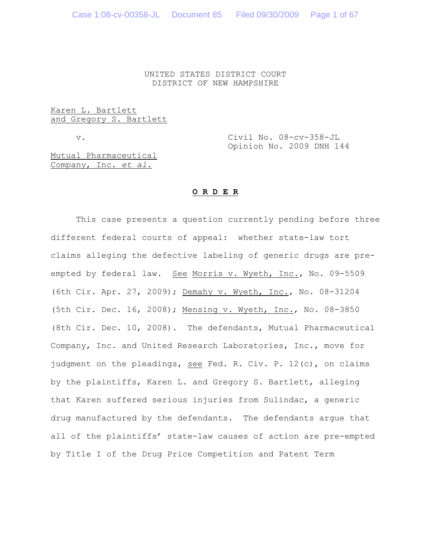UNITED STATES DISTRICT COURT DISTRICT OF NEW HAMPSHIRE

#### Karen L. Bartlett and Gregory S. Bartlett

v. Civil No. 08-cv-358-JL Opinion No. 2009 DNH 144

Mutual Pharmaceutical Company, Inc. *et al.*

### **O R D E R**

This case presents a question currently pending before three different federal courts of appeal: whether state-law tort claims alleging the defective labeling of generic drugs are preempted by federal law. See Morris v. Wyeth, Inc., No. 09-5509 (6th Cir. Apr. 27, 2009); Demahy v. Wyeth, Inc., No. 08-31204 (5th Cir. Dec. 16, 2008); Mensing v. Wyeth, Inc., No. 08-3850 (8th Cir. Dec. 10, 2008). The defendants, Mutual Pharmaceutical Company, Inc. and United Research Laboratories, Inc., move for judgment on the pleadings, see Fed. R. Civ. P. 12(c), on claims by the plaintiffs, Karen L. and Gregory S. Bartlett, alleging that Karen suffered serious injuries from Sulindac, a generic drug manufactured by the defendants. The defendants argue that all of the plaintiffs' state-law causes of action are pre-empted by Title I of the Drug Price Competition and Patent Term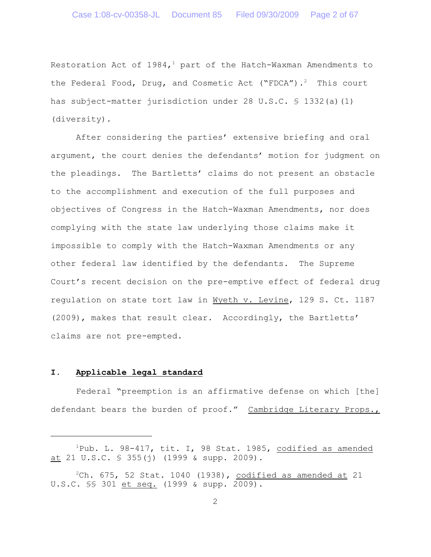Restoration Act of  $1984,$ <sup>1</sup> part of the Hatch-Waxman Amendments to the Federal Food, Drug, and Cosmetic Act ("FDCA").<sup>2</sup> This court has subject-matter jurisdiction under 28 U.S.C. § 1332(a)(1) (diversity).

After considering the parties' extensive briefing and oral argument, the court denies the defendants' motion for judgment on the pleadings. The Bartletts' claims do not present an obstacle to the accomplishment and execution of the full purposes and objectives of Congress in the Hatch-Waxman Amendments, nor does complying with the state law underlying those claims make it impossible to comply with the Hatch-Waxman Amendments or any other federal law identified by the defendants. The Supreme Court's recent decision on the pre-emptive effect of federal drug regulation on state tort law in Wyeth v. Levine, 129 S. Ct. 1187 (2009), makes that result clear. Accordingly, the Bartletts' claims are not pre-empted.

#### **I. Applicable legal standard**

Federal "preemption is an affirmative defense on which [the] defendant bears the burden of proof." Cambridge Literary Props.,

 $P^1$ Pub. L. 98-417, tit. I, 98 Stat. 1985, codified as amended at 21 U.S.C.  $\frac{1}{5}$  355(j) (1999 & supp. 2009).

 $2$ Ch. 675, 52 Stat. 1040 (1938), codified as amended at 21 U.S.C. §§ 301 et seq. (1999 & supp. 2009).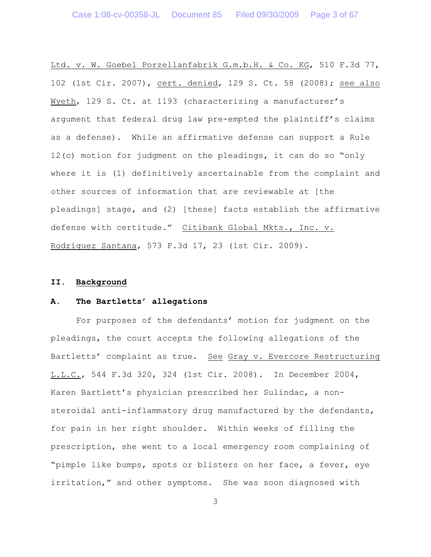Ltd. v. W. Goebel Porzellanfabrik G.m.b.H. & Co. KG, 510 F.3d 77, 102 (1st Cir. 2007), cert. denied, 129 S. Ct. 58 (2008); see also Wyeth, 129 S. Ct. at 1193 (characterizing a manufacturer's argument that federal drug law pre-empted the plaintiff's claims as a defense). While an affirmative defense can support a Rule 12(c) motion for judgment on the pleadings, it can do so "only where it is (1) definitively ascertainable from the complaint and other sources of information that are reviewable at [the pleadings] stage, and (2) [these] facts establish the affirmative defense with certitude." Citibank Global Mkts., Inc. v. Rodriguez Santana, 573 F.3d 17, 23 (1st Cir. 2009).

# **II. Background**

### **A. The Bartletts' allegations**

For purposes of the defendants' motion for judgment on the pleadings, the court accepts the following allegations of the Bartletts' complaint as true. See Gray v. Evercore Restructuring L.L.C., 544 F.3d 320, 324 (1st Cir. 2008). In December 2004, Karen Bartlett's physician prescribed her Sulindac, a nonsteroidal anti-inflammatory drug manufactured by the defendants, for pain in her right shoulder. Within weeks of filling the prescription, she went to a local emergency room complaining of "pimple like bumps, spots or blisters on her face, a fever, eye irritation," and other symptoms. She was soon diagnosed with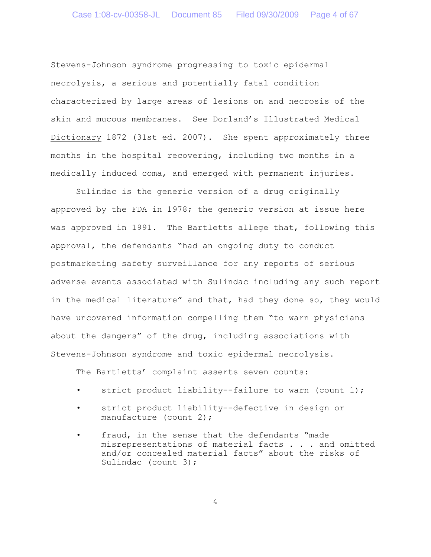Stevens-Johnson syndrome progressing to toxic epidermal necrolysis, a serious and potentially fatal condition characterized by large areas of lesions on and necrosis of the skin and mucous membranes. See Dorland's Illustrated Medical Dictionary 1872 (31st ed. 2007). She spent approximately three months in the hospital recovering, including two months in a medically induced coma, and emerged with permanent injuries.

Sulindac is the generic version of a drug originally approved by the FDA in 1978; the generic version at issue here was approved in 1991. The Bartletts allege that, following this approval, the defendants "had an ongoing duty to conduct postmarketing safety surveillance for any reports of serious adverse events associated with Sulindac including any such report in the medical literature" and that, had they done so, they would have uncovered information compelling them "to warn physicians about the dangers" of the drug, including associations with Stevens-Johnson syndrome and toxic epidermal necrolysis.

The Bartletts' complaint asserts seven counts:

- strict product liability--failure to warn (count 1);
- strict product liability--defective in design or manufacture (count 2);
- fraud, in the sense that the defendants "made misrepresentations of material facts . . . and omitted and/or concealed material facts" about the risks of Sulindac (count 3);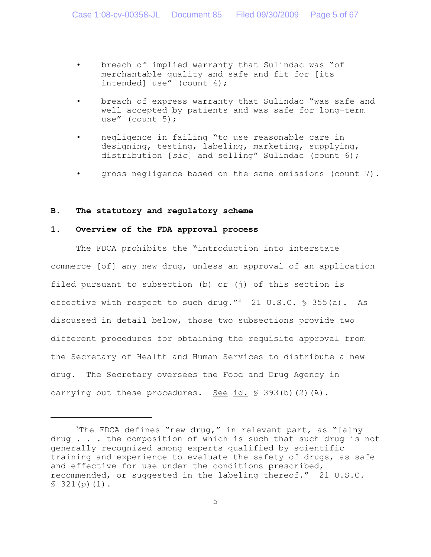- breach of implied warranty that Sulindac was "of merchantable quality and safe and fit for [its intended] use" (count 4);
- breach of express warranty that Sulindac "was safe and well accepted by patients and was safe for long-term use" (count 5);
- negligence in failing "to use reasonable care in designing, testing, labeling, marketing, supplying, distribution [*sic*] and selling" Sulindac (count 6);
- gross negligence based on the same omissions (count 7).

#### **B. The statutory and regulatory scheme**

### **1. Overview of the FDA approval process**

The FDCA prohibits the "introduction into interstate commerce [of] any new drug, unless an approval of an application filed pursuant to subsection (b) or (j) of this section is effective with respect to such drug."<sup>3</sup> 21 U.S.C.  $\frac{1}{5}$  355(a). As discussed in detail below, those two subsections provide two different procedures for obtaining the requisite approval from the Secretary of Health and Human Services to distribute a new drug. The Secretary oversees the Food and Drug Agency in carrying out these procedures. See id.  $\S$  393(b)(2)(A).

<sup>&</sup>lt;sup>3</sup>The FDCA defines "new drug," in relevant part, as "[a]ny drug . . . the composition of which is such that such drug is not generally recognized among experts qualified by scientific training and experience to evaluate the safety of drugs, as safe and effective for use under the conditions prescribed, recommended, or suggested in the labeling thereof." 21 U.S.C.  $$321(p)(1)$ .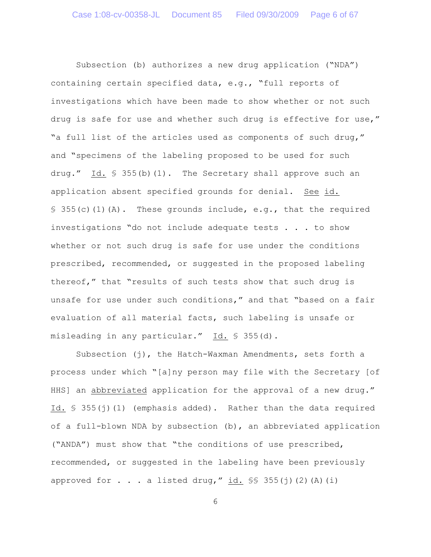Subsection (b) authorizes a new drug application ("NDA") containing certain specified data, e.g., "full reports of investigations which have been made to show whether or not such drug is safe for use and whether such drug is effective for use," "a full list of the articles used as components of such drug," and "specimens of the labeling proposed to be used for such drug." Id.  $\frac{1}{5}$  355(b)(1). The Secretary shall approve such an application absent specified grounds for denial. See id.  $\S$  355(c)(1)(A). These grounds include, e.g., that the required investigations "do not include adequate tests . . . to show whether or not such drug is safe for use under the conditions prescribed, recommended, or suggested in the proposed labeling thereof," that "results of such tests show that such drug is unsafe for use under such conditions," and that "based on a fair evaluation of all material facts, such labeling is unsafe or misleading in any particular." Id. § 355(d).

Subsection (j), the Hatch-Waxman Amendments, sets forth a process under which "[a]ny person may file with the Secretary [of HHS] an abbreviated application for the approval of a new drug." Id. § 355(j)(1) (emphasis added). Rather than the data required of a full-blown NDA by subsection (b), an abbreviated application ("ANDA") must show that "the conditions of use prescribed, recommended, or suggested in the labeling have been previously approved for  $\ldots$  a listed drug,"  $\underline{\text{id.}}$   $\frac{\mathcal{S}}{\mathcal{S}}$  355(j)(2)(A)(i)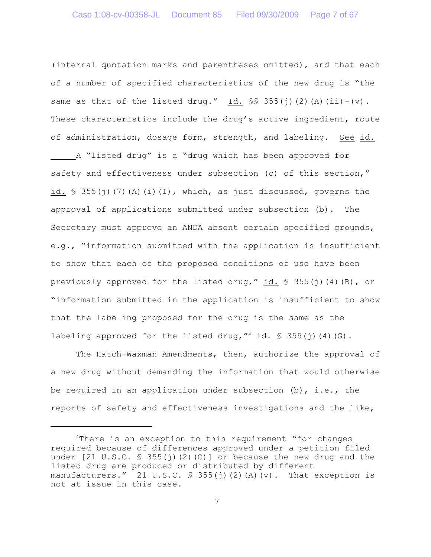(internal quotation marks and parentheses omitted), and that each of a number of specified characteristics of the new drug is "the same as that of the listed drug." Id.  $\frac{1}{5}$  355(j)(2)(A)(ii)-(v). These characteristics include the drug's active ingredient, route of administration, dosage form, strength, and labeling. See id. A "listed drug" is a "drug which has been approved for safety and effectiveness under subsection (c) of this section," id.  $\frac{1}{2}$  355(j)(7)(A)(i)(I), which, as just discussed, governs the approval of applications submitted under subsection (b). The Secretary must approve an ANDA absent certain specified grounds, e.g., "information submitted with the application is insufficient to show that each of the proposed conditions of use have been previously approved for the listed drug," id.  $\frac{1}{5}$  355(j)(4)(B), or "information submitted in the application is insufficient to show that the labeling proposed for the drug is the same as the labeling approved for the listed drug,  $^{\prime\prime}$  4 id. § 355(j)(4)(G).

The Hatch-Waxman Amendments, then, authorize the approval of a new drug without demanding the information that would otherwise be required in an application under subsection  $(b)$ , i.e., the reports of safety and effectiveness investigations and the like,

 $4$ There is an exception to this requirement "for changes required because of differences approved under a petition filed under  $[21 \, \text{U.S.C.} \, \text{S} \, 355 \, \text{(i)} \, \text{(2)} \, \text{(C)}]$  or because the new drug and the listed drug are produced or distributed by different manufacturers." 21 U.S.C. § 355(j)(2)(A)(v). That exception is not at issue in this case.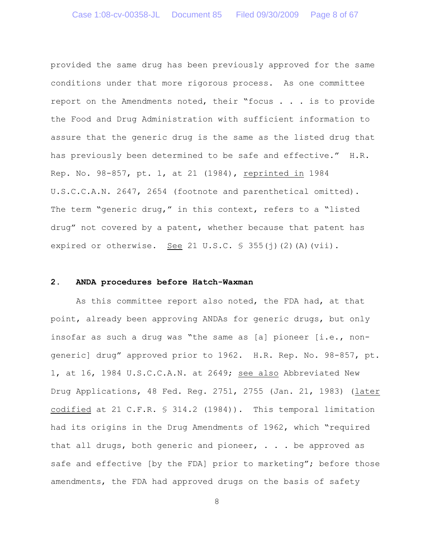provided the same drug has been previously approved for the same conditions under that more rigorous process. As one committee report on the Amendments noted, their "focus . . . is to provide the Food and Drug Administration with sufficient information to assure that the generic drug is the same as the listed drug that has previously been determined to be safe and effective." H.R. Rep. No. 98-857, pt. 1, at 21 (1984), reprinted in 1984 U.S.C.C.A.N. 2647, 2654 (footnote and parenthetical omitted). The term "generic drug," in this context, refers to a "listed drug" not covered by a patent, whether because that patent has expired or otherwise. See 21 U.S.C.  $\frac{1}{5}$  355(j)(2)(A)(vii).

### **2. ANDA procedures before Hatch-Waxman**

As this committee report also noted, the FDA had, at that point, already been approving ANDAs for generic drugs, but only insofar as such a drug was "the same as [a] pioneer [i.e., nongeneric] drug" approved prior to 1962. H.R. Rep. No. 98-857, pt. 1, at 16, 1984 U.S.C.C.A.N. at 2649; see also Abbreviated New Drug Applications, 48 Fed. Reg. 2751, 2755 (Jan. 21, 1983) (later codified at 21 C.F.R. § 314.2 (1984)). This temporal limitation had its origins in the Drug Amendments of 1962, which "required that all drugs, both generic and pioneer,  $\ldots$  be approved as safe and effective [by the FDA] prior to marketing"; before those amendments, the FDA had approved drugs on the basis of safety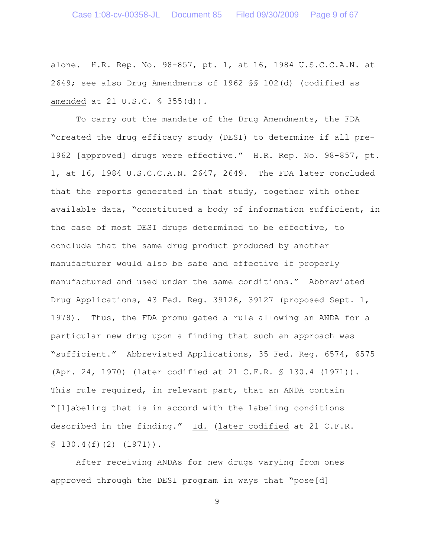alone. H.R. Rep. No. 98-857, pt. 1, at 16, 1984 U.S.C.C.A.N. at 2649; see also Drug Amendments of 1962 §§ 102(d) (codified as amended at 21 U.S.C. § 355(d)).

To carry out the mandate of the Drug Amendments, the FDA "created the drug efficacy study (DESI) to determine if all pre-1962 [approved] drugs were effective." H.R. Rep. No. 98-857, pt. 1, at 16, 1984 U.S.C.C.A.N. 2647, 2649. The FDA later concluded that the reports generated in that study, together with other available data, "constituted a body of information sufficient, in the case of most DESI drugs determined to be effective, to conclude that the same drug product produced by another manufacturer would also be safe and effective if properly manufactured and used under the same conditions." Abbreviated Drug Applications, 43 Fed. Reg. 39126, 39127 (proposed Sept. 1, 1978). Thus, the FDA promulgated a rule allowing an ANDA for a particular new drug upon a finding that such an approach was "sufficient." Abbreviated Applications, 35 Fed. Reg. 6574, 6575 (Apr. 24, 1970) (later codified at 21 C.F.R. § 130.4 (1971)). This rule required, in relevant part, that an ANDA contain "[l]abeling that is in accord with the labeling conditions described in the finding." Id. (later codified at 21 C.F.R.  $$130.4(f)(2)(1971)$ .

After receiving ANDAs for new drugs varying from ones approved through the DESI program in ways that "pose[d]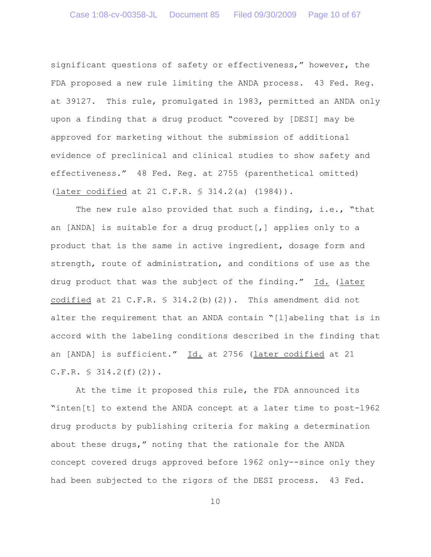significant questions of safety or effectiveness," however, the FDA proposed a new rule limiting the ANDA process. 43 Fed. Reg. at 39127. This rule, promulgated in 1983, permitted an ANDA only upon a finding that a drug product "covered by [DESI] may be approved for marketing without the submission of additional evidence of preclinical and clinical studies to show safety and effectiveness." 48 Fed. Reg. at 2755 (parenthetical omitted) (later codified at 21 C.F.R. § 314.2(a) (1984)).

The new rule also provided that such a finding, i.e., "that an [ANDA] is suitable for a drug product[,] applies only to a product that is the same in active ingredient, dosage form and strength, route of administration, and conditions of use as the drug product that was the subject of the finding." Id. (later codified at 21 C.F.R.  $\frac{1}{5}$  314.2(b)(2)). This amendment did not alter the requirement that an ANDA contain "[l]abeling that is in accord with the labeling conditions described in the finding that an [ANDA] is sufficient." Id. at 2756 (later codified at 21  $C.F.R. \S 314.2(f)(2)$ .

At the time it proposed this rule, the FDA announced its "inten[t] to extend the ANDA concept at a later time to post-1962 drug products by publishing criteria for making a determination about these drugs," noting that the rationale for the ANDA concept covered drugs approved before 1962 only--since only they had been subjected to the rigors of the DESI process. 43 Fed.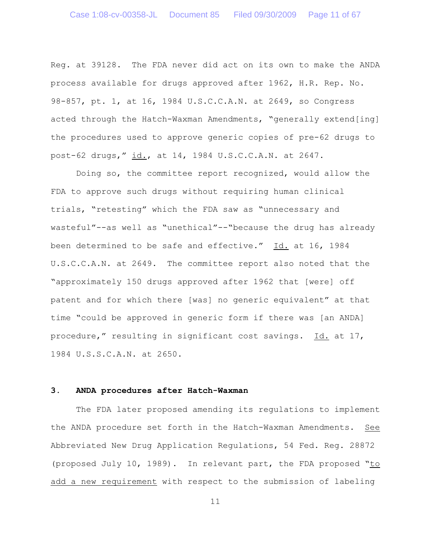Reg. at 39128. The FDA never did act on its own to make the ANDA process available for drugs approved after 1962, H.R. Rep. No. 98-857, pt. 1, at 16, 1984 U.S.C.C.A.N. at 2649, so Congress acted through the Hatch-Waxman Amendments, "generally extend[ing] the procedures used to approve generic copies of pre-62 drugs to post-62 drugs," id., at 14, 1984 U.S.C.C.A.N. at 2647.

Doing so, the committee report recognized, would allow the FDA to approve such drugs without requiring human clinical trials, "retesting" which the FDA saw as "unnecessary and wasteful"--as well as "unethical"--"because the drug has already been determined to be safe and effective." Id. at 16, 1984 U.S.C.C.A.N. at 2649. The committee report also noted that the "approximately 150 drugs approved after 1962 that [were] off patent and for which there [was] no generic equivalent" at that time "could be approved in generic form if there was [an ANDA] procedure," resulting in significant cost savings. Id. at 17, 1984 U.S.S.C.A.N. at 2650.

# **3. ANDA procedures after Hatch-Waxman**

The FDA later proposed amending its regulations to implement the ANDA procedure set forth in the Hatch-Waxman Amendments. See Abbreviated New Drug Application Regulations, 54 Fed. Reg. 28872 (proposed July 10, 1989). In relevant part, the FDA proposed "to add a new requirement with respect to the submission of labeling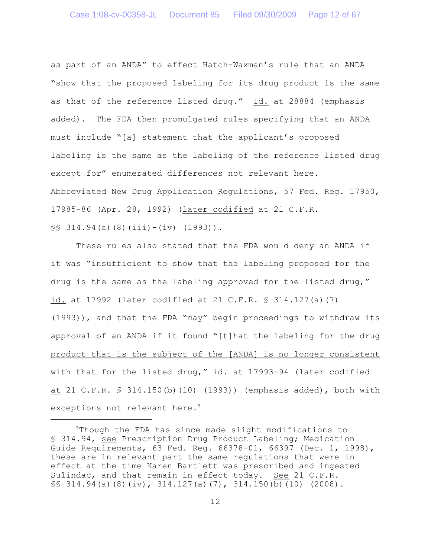as part of an ANDA" to effect Hatch-Waxman's rule that an ANDA "show that the proposed labeling for its drug product is the same as that of the reference listed drug." Id. at 28884 (emphasis added). The FDA then promulgated rules specifying that an ANDA must include "[a] statement that the applicant's proposed labeling is the same as the labeling of the reference listed drug except for" enumerated differences not relevant here. Abbreviated New Drug Application Regulations, 57 Fed. Reg. 17950, 17985-86 (Apr. 28, 1992) (later codified at 21 C.F.R.  $\S$ § 314.94(a)(8)(iii)-(iv) (1993)).

These rules also stated that the FDA would deny an ANDA if it was "insufficient to show that the labeling proposed for the drug is the same as the labeling approved for the listed drug," id. at 17992 (later codified at 21 C.F.R. § 314.127(a)(7) (1993)), and that the FDA "may" begin proceedings to withdraw its approval of an ANDA if it found "[t]hat the labeling for the drug product that is the subject of the [ANDA] is no longer consistent with that for the listed drug," id. at 17993-94 (later codified at 21 C.F.R. § 314.150(b)(10) (1993)) (emphasis added), both with exceptions not relevant here.<sup>5</sup>

 $5$ Though the FDA has since made slight modifications to § 314.94, see Prescription Drug Product Labeling; Medication Guide Requirements, 63 Fed. Reg. 66378-01, 66397 (Dec. 1, 1998), these are in relevant part the same regulations that were in effect at the time Karen Bartlett was prescribed and ingested Sulindac, and that remain in effect today. See 21 C.F.R.  $\S$  314.94(a)(8)(iv), 314.127(a)(7), 314.150(b)(10)(2008).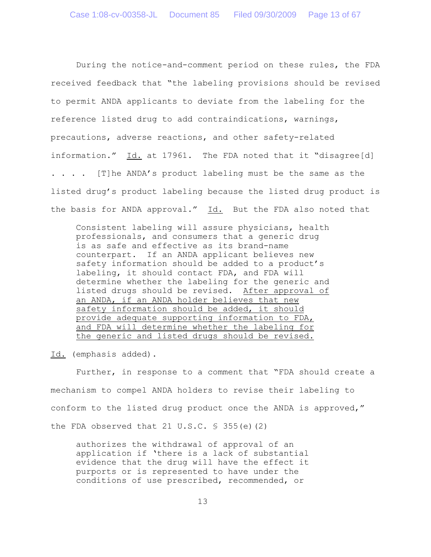During the notice-and-comment period on these rules, the FDA received feedback that "the labeling provisions should be revised to permit ANDA applicants to deviate from the labeling for the reference listed drug to add contraindications, warnings, precautions, adverse reactions, and other safety-related information." Id. at 17961. The FDA noted that it "disagree[d] . . . . [T]he ANDA's product labeling must be the same as the listed drug's product labeling because the listed drug product is the basis for ANDA approval." Id. But the FDA also noted that

Consistent labeling will assure physicians, health professionals, and consumers that a generic drug is as safe and effective as its brand-name counterpart. If an ANDA applicant believes new safety information should be added to a product's labeling, it should contact FDA, and FDA will determine whether the labeling for the generic and listed drugs should be revised. After approval of an ANDA, if an ANDA holder believes that new safety information should be added, it should provide adequate supporting information to FDA, and FDA will determine whether the labeling for the generic and listed drugs should be revised.

Id. (emphasis added).

Further, in response to a comment that "FDA should create a mechanism to compel ANDA holders to revise their labeling to conform to the listed drug product once the ANDA is approved," the FDA observed that 21  $U.S.C. \$ 355(e)(2)$ 

authorizes the withdrawal of approval of an application if 'there is a lack of substantial evidence that the drug will have the effect it purports or is represented to have under the conditions of use prescribed, recommended, or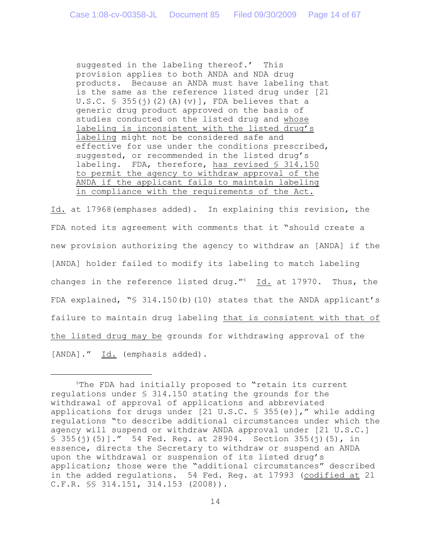suggested in the labeling thereof.' This provision applies to both ANDA and NDA drug products. Because an ANDA must have labeling that is the same as the reference listed drug under [21 U.S.C.  $\frac{1}{5}$  355(j)(2)(A)(v)], FDA believes that a generic drug product approved on the basis of studies conducted on the listed drug and whose labeling is inconsistent with the listed drug's labeling might not be considered safe and effective for use under the conditions prescribed, suggested, or recommended in the listed drug's labeling. FDA, therefore, has revised § 314.150 to permit the agency to withdraw approval of the ANDA if the applicant fails to maintain labeling in compliance with the requirements of the Act.

Id. at 17968(emphases added). In explaining this revision, the FDA noted its agreement with comments that it "should create a new provision authorizing the agency to withdraw an [ANDA] if the [ANDA] holder failed to modify its labeling to match labeling changes in the reference listed drug." $6$  Id. at 17970. Thus, the FDA explained, "§ 314.150(b)(10) states that the ANDA applicant's failure to maintain drug labeling that is consistent with that of the listed drug may be grounds for withdrawing approval of the [ANDA]." Id. (emphasis added).

 $6$ The FDA had initially proposed to "retain its current regulations under § 314.150 stating the grounds for the withdrawal of approval of applications and abbreviated applications for drugs under [21 U.S.C. § 355(e)]," while adding regulations "to describe additional circumstances under which the agency will suspend or withdraw ANDA approval under [21 U.S.C.]  $$355(i)(5)$ ]." 54 Fed. Req. at 28904. Section 355(j)(5), in essence, directs the Secretary to withdraw or suspend an ANDA upon the withdrawal or suspension of its listed drug's application; those were the "additional circumstances" described in the added regulations. 54 Fed. Reg. at 17993 (codified at 21 C.F.R. §§ 314.151, 314.153 (2008)).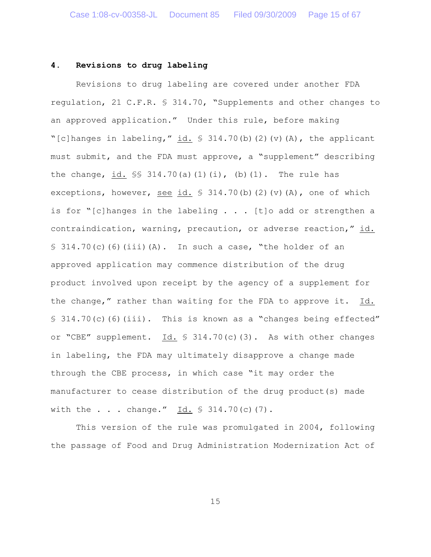### **4. Revisions to drug labeling**

Revisions to drug labeling are covered under another FDA regulation, 21 C.F.R. § 314.70, "Supplements and other changes to an approved application." Under this rule, before making "[c]hanges in labeling," id.  $\frac{1}{2}$  314.70(b)(2)(v)(A), the applicant must submit, and the FDA must approve, a "supplement" describing the change, id.  $\S$  314.70(a)(1)(i), (b)(1). The rule has exceptions, however, see id.  $\frac{1}{2}$  314.70(b)(2)(v)(A), one of which is for "[c]hanges in the labeling  $\ldots$  . [t]o add or strengthen a contraindication, warning, precaution, or adverse reaction," id.  $\S$  314.70(c)(6)(iii)(A). In such a case, "the holder of an approved application may commence distribution of the drug product involved upon receipt by the agency of a supplement for the change," rather than waiting for the FDA to approve it.  $Id.$ § 314.70(c)(6)(iii). This is known as a "changes being effected" or "CBE" supplement. Id. § 314.70(c)(3). As with other changes in labeling, the FDA may ultimately disapprove a change made through the CBE process, in which case "it may order the manufacturer to cease distribution of the drug product(s) made with the . . . change." Id.  $$314.70(c)(7)$ .

This version of the rule was promulgated in 2004, following the passage of Food and Drug Administration Modernization Act of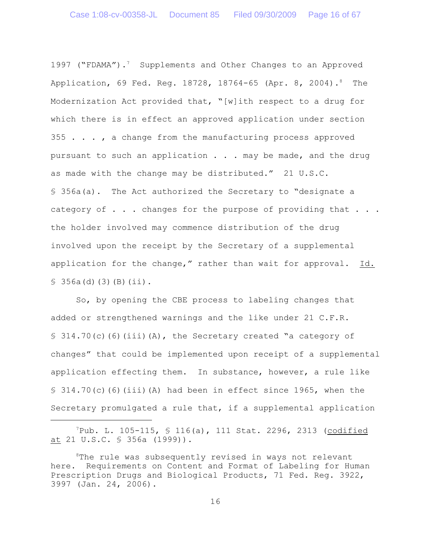1997 ("FDAMA").<sup>7</sup> Supplements and Other Changes to an Approved Application, 69 Fed. Reg. 18728, 18764-65 (Apr. 8, 2004).<sup>8</sup> The Modernization Act provided that, "[w]ith respect to a drug for which there is in effect an approved application under section  $355$  . . . , a change from the manufacturing process approved pursuant to such an application . . . may be made, and the drug as made with the change may be distributed." 21 U.S.C. § 356a(a). The Act authorized the Secretary to "designate a category of  $\ldots$  changes for the purpose of providing that  $\ldots$ . the holder involved may commence distribution of the drug involved upon the receipt by the Secretary of a supplemental application for the change," rather than wait for approval. Id.  $$356a(d)(3)(B)(ii).$ 

So, by opening the CBE process to labeling changes that added or strengthened warnings and the like under 21 C.F.R.  $\S$  314.70(c)(6)(iii)(A), the Secretary created "a category of changes" that could be implemented upon receipt of a supplemental application effecting them. In substance, however, a rule like  $\S$  314.70(c)(6)(iii)(A) had been in effect since 1965, when the Secretary promulgated a rule that, if a supplemental application

 $P^7$ Pub. L. 105-115, § 116(a), 111 Stat. 2296, 2313 (codified at 21 U.S.C. § 356a (1999)).

 ${}^{8}$ The rule was subsequently revised in ways not relevant here. Requirements on Content and Format of Labeling for Human Prescription Drugs and Biological Products, 71 Fed. Reg. 3922, 3997 (Jan. 24, 2006).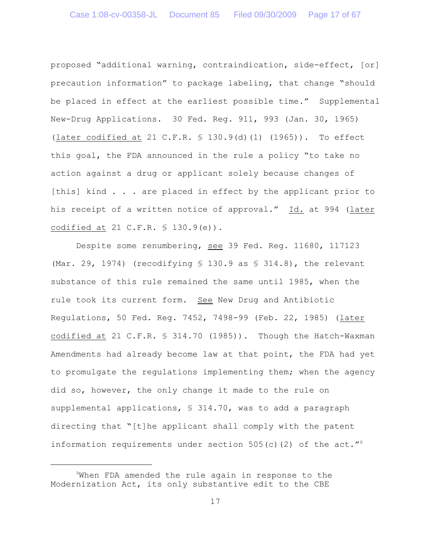proposed "additional warning, contraindication, side-effect, [or] precaution information" to package labeling, that change "should be placed in effect at the earliest possible time." Supplemental New-Drug Applications. 30 Fed. Reg. 911, 993 (Jan. 30, 1965) (later codified at 21 C.F.R. § 130.9(d)(1) (1965)). To effect this goal, the FDA announced in the rule a policy "to take no action against a drug or applicant solely because changes of [this] kind . . . are placed in effect by the applicant prior to his receipt of a written notice of approval." Id. at 994 (later codified at 21 C.F.R. § 130.9(e)).

Despite some renumbering, see 39 Fed. Reg. 11680, 117123 (Mar. 29, 1974) (recodifying  $$ 130.9$  as  $$ 314.8$ ), the relevant substance of this rule remained the same until 1985, when the rule took its current form. See New Drug and Antibiotic Regulations, 50 Fed. Reg. 7452, 7498-99 (Feb. 22, 1985) (later codified at 21 C.F.R. § 314.70 (1985)). Though the Hatch-Waxman Amendments had already become law at that point, the FDA had yet to promulgate the regulations implementing them; when the agency did so, however, the only change it made to the rule on supplemental applications, § 314.70, was to add a paragraph directing that "[t]he applicant shall comply with the patent information requirements under section 505(c)(2) of the act."<sup>9</sup>

<sup>&</sup>lt;sup>9</sup>When FDA amended the rule again in response to the Modernization Act, its only substantive edit to the CBE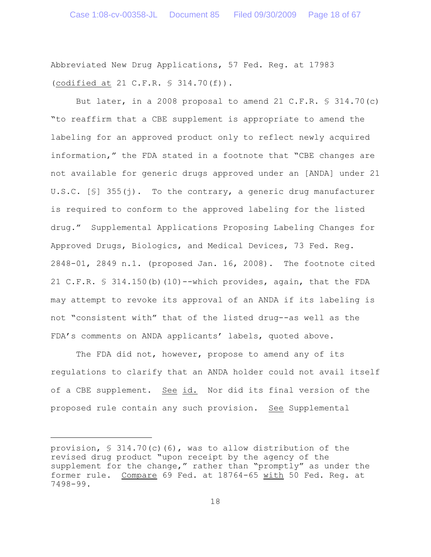Abbreviated New Drug Applications, 57 Fed. Reg. at 17983 (codified at 21 C.F.R. § 314.70(f)).

But later, in a 2008 proposal to amend 21 C.F.R. § 314.70(c) "to reaffirm that a CBE supplement is appropriate to amend the labeling for an approved product only to reflect newly acquired information," the FDA stated in a footnote that "CBE changes are not available for generic drugs approved under an [ANDA] under 21 U.S.C. [§] 355(j). To the contrary, a generic drug manufacturer is required to conform to the approved labeling for the listed drug." Supplemental Applications Proposing Labeling Changes for Approved Drugs, Biologics, and Medical Devices, 73 Fed. Reg. 2848-01, 2849 n.1. (proposed Jan. 16, 2008). The footnote cited 21 C.F.R. § 314.150(b)(10)--which provides, again, that the FDA may attempt to revoke its approval of an ANDA if its labeling is not "consistent with" that of the listed drug--as well as the FDA's comments on ANDA applicants' labels, quoted above.

The FDA did not, however, propose to amend any of its regulations to clarify that an ANDA holder could not avail itself of a CBE supplement. See id. Nor did its final version of the proposed rule contain any such provision. See Supplemental

provision, § 314.70(c)(6), was to allow distribution of the revised drug product "upon receipt by the agency of the supplement for the change," rather than "promptly" as under the former rule. Compare 69 Fed. at 18764-65 with 50 Fed. Reg. at 7498-99.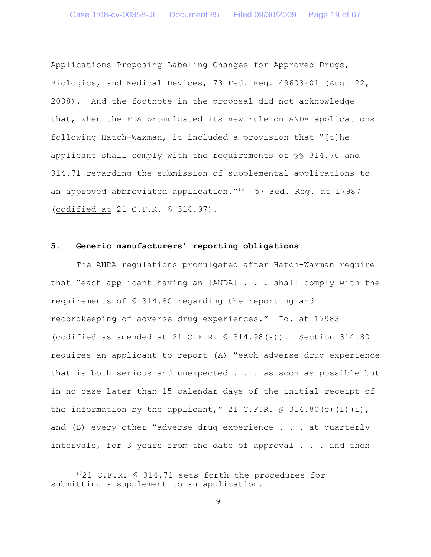Applications Proposing Labeling Changes for Approved Drugs, Biologics, and Medical Devices, 73 Fed. Reg. 49603-01 (Aug. 22, 2008). And the footnote in the proposal did not acknowledge that, when the FDA promulgated its new rule on ANDA applications following Hatch-Waxman, it included a provision that "[t]he applicant shall comply with the requirements of §§ 314.70 and 314.71 regarding the submission of supplemental applications to an approved abbreviated application. $10^{10}$  57 Fed. Req. at 17987 (codified at 21 C.F.R. § 314.97).

#### **5. Generic manufacturers' reporting obligations**

The ANDA regulations promulgated after Hatch-Waxman require that "each applicant having an [ANDA] . . . shall comply with the requirements of § 314.80 regarding the reporting and recordkeeping of adverse drug experiences." Id. at 17983 (codified as amended at 21 C.F.R. § 314.98(a)). Section 314.80 requires an applicant to report (A) "each adverse drug experience that is both serious and unexpected  $\ldots$  as soon as possible but in no case later than 15 calendar days of the initial receipt of the information by the applicant," 21 C.F.R.  $\frac{1}{5}$  314.80(c)(1)(i), and  $(B)$  every other "adverse drug experience  $\ldots$  at quarterly intervals, for 3 years from the date of approval . . . and then

 $1021$  C.F.R. § 314.71 sets forth the procedures for submitting a supplement to an application.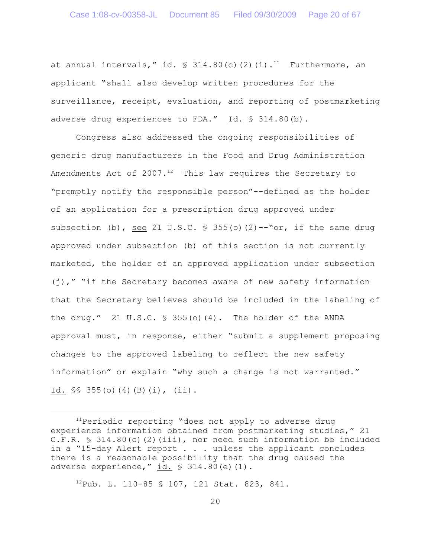at annual intervals," id.  $\frac{1}{2}$  314.80(c)(2)(i).<sup>11</sup> Furthermore, an applicant "shall also develop written procedures for the surveillance, receipt, evaluation, and reporting of postmarketing adverse drug experiences to FDA."  $\underline{Id.}$  § 314.80(b).

Congress also addressed the ongoing responsibilities of generic drug manufacturers in the Food and Drug Administration Amendments Act of 2007.<sup>12</sup> This law requires the Secretary to "promptly notify the responsible person"--defined as the holder of an application for a prescription drug approved under subsection (b), see 21 U.S.C.  $\frac{1}{5}$  355(o)(2)--"or, if the same drug approved under subsection (b) of this section is not currently marketed, the holder of an approved application under subsection  $(j)$ ," "if the Secretary becomes aware of new safety information that the Secretary believes should be included in the labeling of the drug." 21 U.S.C.  $\frac{6}{5}$  355(o)(4). The holder of the ANDA approval must, in response, either "submit a supplement proposing changes to the approved labeling to reflect the new safety information" or explain "why such a change is not warranted." Id.  $\frac{1}{10}$   $\frac{1}{10}$   $\frac{1}{10}$   $\frac{1}{10}$   $\frac{1}{10}$   $\frac{1}{10}$   $\frac{1}{10}$   $\frac{1}{10}$   $\frac{1}{10}$   $\frac{1}{10}$   $\frac{1}{10}$   $\frac{1}{10}$   $\frac{1}{10}$   $\frac{1}{10}$   $\frac{1}{10}$   $\frac{1}{10}$   $\frac{1}{10}$   $\frac{1}{10}$   $\frac{1}{10}$   $\frac{1}{10$ 

 $^{12}$ Pub. L. 110-85 § 107, 121 Stat. 823, 841.

 $11$ Periodic reporting "does not apply to adverse drug experience information obtained from postmarketing studies," 21 C.F.R.  $\text{\$}$  314.80(c)(2)(iii), nor need such information be included in a "15-day Alert report . . . unless the applicant concludes there is a reasonable possibility that the drug caused the adverse experience,"  $id. \$   $$314.80(e)$  (1).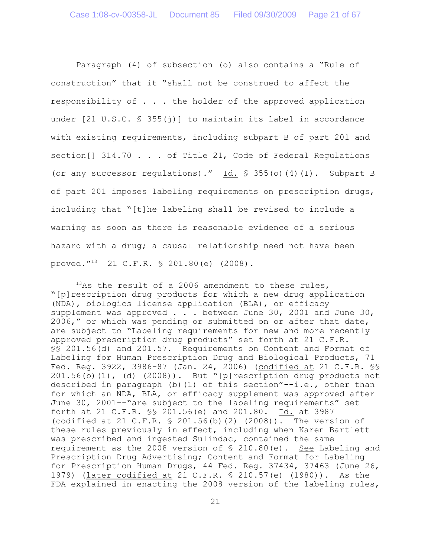Paragraph (4) of subsection (o) also contains a "Rule of construction" that it "shall not be construed to affect the responsibility of  $\ldots$ . the holder of the approved application under [21 U.S.C. § 355(j)] to maintain its label in accordance with existing requirements, including subpart B of part 201 and section<sup>[]</sup> 314.70 . . . of Title 21, Code of Federal Regulations (or any successor regulations)."  $\underline{Id.}$  § 355(o)(4)(I). Subpart B of part 201 imposes labeling requirements on prescription drugs, including that "[t]he labeling shall be revised to include a warning as soon as there is reasonable evidence of a serious hazard with a drug; a causal relationship need not have been proved."<sup>13</sup> 21 C.F.R.  $$ 201.80(e)$  (2008).

 $13$ As the result of a 2006 amendment to these rules, "[p]rescription drug products for which a new drug application (NDA), biologics license application (BLA), or efficacy supplement was approved . . . between June 30, 2001 and June 30, 2006," or which was pending or submitted on or after that date, are subject to "Labeling requirements for new and more recently approved prescription drug products" set forth at 21 C.F.R. §§ 201.56(d) and 201.57. Requirements on Content and Format of Labeling for Human Prescription Drug and Biological Products, 71 Fed. Reg. 3922, 3986-87 (Jan. 24, 2006) (codified at 21 C.F.R. §§ 201.56(b)(1), (d) (2008)). But "[p]rescription drug products not described in paragraph (b)(1) of this section" $-i.e.,$  other than for which an NDA, BLA, or efficacy supplement was approved after June 30, 2001--"are subject to the labeling requirements" set forth at 21 C.F.R. §§ 201.56(e) and 201.80. Id. at 3987 (codified at 21 C.F.R. § 201.56(b)(2) (2008)). The version of these rules previously in effect, including when Karen Bartlett was prescribed and ingested Sulindac, contained the same requirement as the 2008 version of § 210.80(e). See Labeling and Prescription Drug Advertising; Content and Format for Labeling for Prescription Human Drugs, 44 Fed. Reg. 37434, 37463 (June 26, 1979) (later codified at 21 C.F.R. § 210.57(e) (1980)). As the FDA explained in enacting the 2008 version of the labeling rules,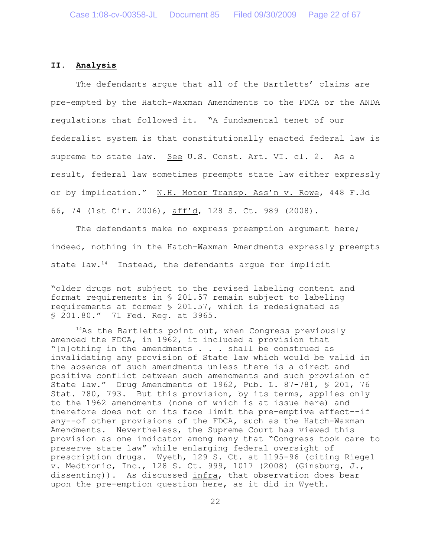# **II. Analysis**

The defendants argue that all of the Bartletts' claims are pre-empted by the Hatch-Waxman Amendments to the FDCA or the ANDA regulations that followed it. "A fundamental tenet of our federalist system is that constitutionally enacted federal law is supreme to state law. See U.S. Const. Art. VI. cl. 2. As a result, federal law sometimes preempts state law either expressly or by implication." N.H. Motor Transp. Ass'n v. Rowe, 448 F.3d 66, 74 (1st Cir. 2006), aff'd, 128 S. Ct. 989 (2008).

The defendants make no express preemption argument here; indeed, nothing in the Hatch-Waxman Amendments expressly preempts state law. $14$  Instead, the defendants argue for implicit

 $14$ As the Bartletts point out, when Congress previously amended the FDCA, in 1962, it included a provision that "[n]othing in the amendments . . . shall be construed as invalidating any provision of State law which would be valid in the absence of such amendments unless there is a direct and positive conflict between such amendments and such provision of State law." Drug Amendments of 1962, Pub. L. 87-781, § 201, 76 Stat. 780, 793. But this provision, by its terms, applies only to the 1962 amendments (none of which is at issue here) and therefore does not on its face limit the pre-emptive effect--if any--of other provisions of the FDCA, such as the Hatch-Waxman Amendments. Nevertheless, the Supreme Court has viewed this provision as one indicator among many that "Congress took care to preserve state law" while enlarging federal oversight of prescription drugs. Wyeth, 129 S. Ct. at 1195-96 (citing Riegel v. Medtronic, Inc., 128 S. Ct. 999, 1017 (2008) (Ginsburg, J., dissenting)). As discussed infra, that observation does bear upon the pre-emption question here, as it did in Wyeth.

<sup>&</sup>quot;older drugs not subject to the revised labeling content and format requirements in § 201.57 remain subject to labeling requirements at former § 201.57, which is redesignated as § 201.80." 71 Fed. Reg. at 3965.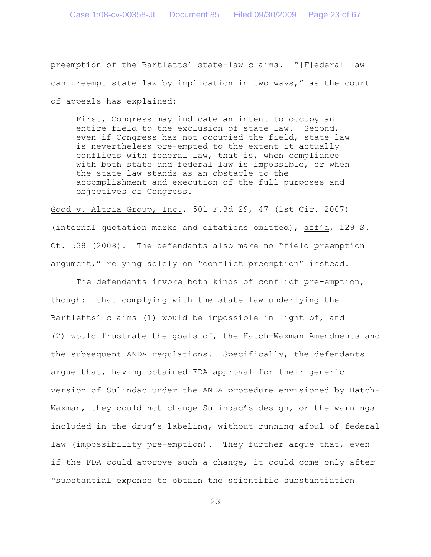preemption of the Bartletts' state-law claims. "[F]ederal law can preempt state law by implication in two ways," as the court of appeals has explained:

First, Congress may indicate an intent to occupy an entire field to the exclusion of state law. Second, even if Congress has not occupied the field, state law is nevertheless pre-empted to the extent it actually conflicts with federal law, that is, when compliance with both state and federal law is impossible, or when the state law stands as an obstacle to the accomplishment and execution of the full purposes and objectives of Congress.

Good v. Altria Group, Inc., 501 F.3d 29, 47 (1st Cir. 2007) (internal quotation marks and citations omitted), aff'd, 129 S. Ct. 538 (2008). The defendants also make no "field preemption argument," relying solely on "conflict preemption" instead.

The defendants invoke both kinds of conflict pre-emption, though: that complying with the state law underlying the Bartletts' claims (1) would be impossible in light of, and (2) would frustrate the goals of, the Hatch-Waxman Amendments and the subsequent ANDA regulations. Specifically, the defendants argue that, having obtained FDA approval for their generic version of Sulindac under the ANDA procedure envisioned by Hatch-Waxman, they could not change Sulindac's design, or the warnings included in the drug's labeling, without running afoul of federal law (impossibility pre-emption). They further argue that, even if the FDA could approve such a change, it could come only after "substantial expense to obtain the scientific substantiation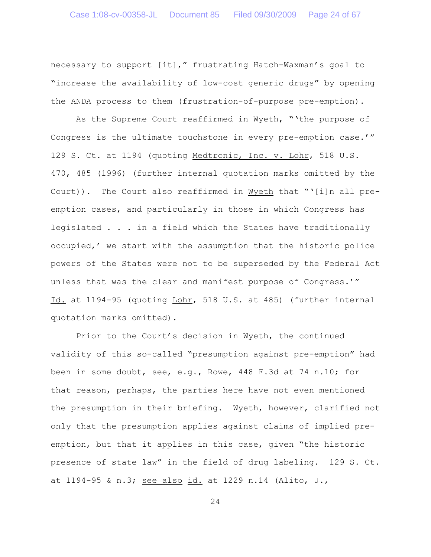necessary to support [it]," frustrating Hatch-Waxman's goal to "increase the availability of low-cost generic drugs" by opening the ANDA process to them (frustration-of-purpose pre-emption).

As the Supreme Court reaffirmed in Wyeth, "'the purpose of Congress is the ultimate touchstone in every pre-emption case.'" 129 S. Ct. at 1194 (quoting Medtronic, Inc. v. Lohr, 518 U.S. 470, 485 (1996) (further internal quotation marks omitted by the Court)). The Court also reaffirmed in Wyeth that "'[i]n all preemption cases, and particularly in those in which Congress has legislated . . . in a field which the States have traditionally occupied,' we start with the assumption that the historic police powers of the States were not to be superseded by the Federal Act unless that was the clear and manifest purpose of Congress.'" Id. at 1194-95 (quoting Lohr, 518 U.S. at 485) (further internal quotation marks omitted).

Prior to the Court's decision in Wyeth, the continued validity of this so-called "presumption against pre-emption" had been in some doubt, see, e.g., Rowe, 448 F.3d at 74 n.10; for that reason, perhaps, the parties here have not even mentioned the presumption in their briefing. Wyeth, however, clarified not only that the presumption applies against claims of implied preemption, but that it applies in this case, given "the historic presence of state law" in the field of drug labeling. 129 S. Ct. at 1194-95 & n.3; see also id. at 1229 n.14 (Alito, J.,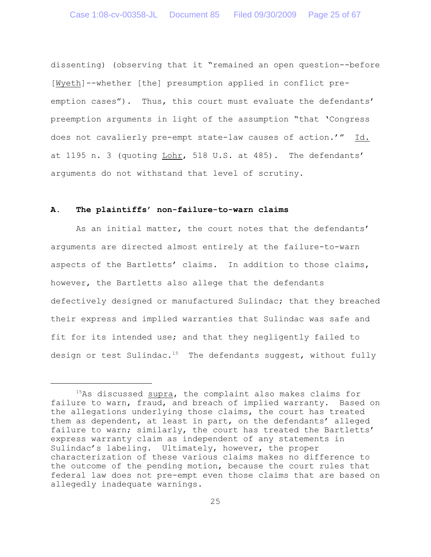dissenting) (observing that it "remained an open question--before [Wyeth]--whether [the] presumption applied in conflict preemption cases"). Thus, this court must evaluate the defendants' preemption arguments in light of the assumption "that 'Congress does not cavalierly pre-empt state-law causes of action.'" Id. at 1195 n. 3 (quoting Lohr, 518 U.S. at 485). The defendants' arguments do not withstand that level of scrutiny.

#### **A. The plaintiffs' non-failure-to-warn claims**

As an initial matter, the court notes that the defendants' arguments are directed almost entirely at the failure-to-warn aspects of the Bartletts' claims. In addition to those claims, however, the Bartletts also allege that the defendants defectively designed or manufactured Sulindac; that they breached their express and implied warranties that Sulindac was safe and fit for its intended use; and that they negligently failed to design or test Sulindac.<sup>15</sup> The defendants suggest, without fully

 $15$ As discussed supra, the complaint also makes claims for failure to warn, fraud, and breach of implied warranty. Based on the allegations underlying those claims, the court has treated them as dependent, at least in part, on the defendants' alleged failure to warn; similarly, the court has treated the Bartletts' express warranty claim as independent of any statements in Sulindac's labeling. Ultimately, however, the proper characterization of these various claims makes no difference to the outcome of the pending motion, because the court rules that federal law does not pre-empt even those claims that are based on allegedly inadequate warnings.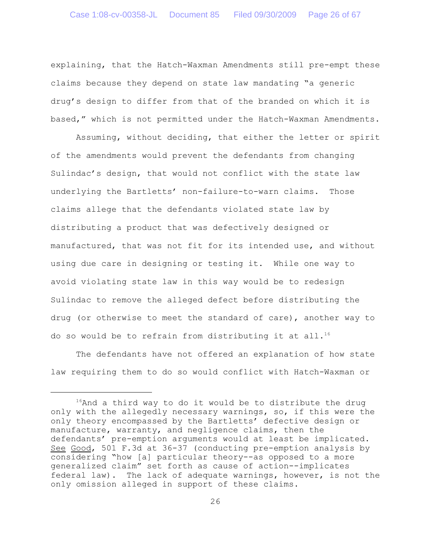explaining, that the Hatch-Waxman Amendments still pre-empt these claims because they depend on state law mandating "a generic drug's design to differ from that of the branded on which it is based," which is not permitted under the Hatch-Waxman Amendments.

Assuming, without deciding, that either the letter or spirit of the amendments would prevent the defendants from changing Sulindac's design, that would not conflict with the state law underlying the Bartletts' non-failure-to-warn claims. Those claims allege that the defendants violated state law by distributing a product that was defectively designed or manufactured, that was not fit for its intended use, and without using due care in designing or testing it. While one way to avoid violating state law in this way would be to redesign Sulindac to remove the alleged defect before distributing the drug (or otherwise to meet the standard of care), another way to do so would be to refrain from distributing it at all.<sup>16</sup>

The defendants have not offered an explanation of how state law requiring them to do so would conflict with Hatch-Waxman or

 $16$ And a third way to do it would be to distribute the drug only with the allegedly necessary warnings, so, if this were the only theory encompassed by the Bartletts' defective design or manufacture, warranty, and negligence claims, then the defendants' pre-emption arguments would at least be implicated. See Good, 501 F.3d at 36-37 (conducting pre-emption analysis by considering "how [a] particular theory--as opposed to a more generalized claim" set forth as cause of action--implicates federal law). The lack of adequate warnings, however, is not the only omission alleged in support of these claims.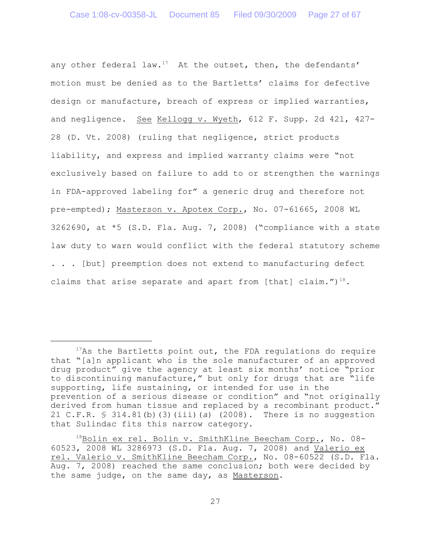any other federal law.<sup>17</sup> At the outset, then, the defendants' motion must be denied as to the Bartletts' claims for defective design or manufacture, breach of express or implied warranties, and negligence. See Kellogg v. Wyeth, 612 F. Supp. 2d 421, 427-28 (D. Vt. 2008) (ruling that negligence, strict products liability, and express and implied warranty claims were "not exclusively based on failure to add to or strengthen the warnings in FDA-approved labeling for" a generic drug and therefore not pre-empted); Masterson v. Apotex Corp., No. 07-61665, 2008 WL 3262690, at \*5 (S.D. Fla. Aug. 7, 2008) ("compliance with a state law duty to warn would conflict with the federal statutory scheme . . . [but] preemption does not extend to manufacturing defect claims that arise separate and apart from [that] claim.") $^{18}$ .

 $17$ As the Bartletts point out, the FDA regulations do require that "[a]n applicant who is the sole manufacturer of an approved drug product" give the agency at least six months' notice "prior to discontinuing manufacture," but only for drugs that are "life supporting, life sustaining, or intended for use in the prevention of a serious disease or condition" and "not originally derived from human tissue and replaced by a recombinant product." 21 C.F.R. § 314.81(b)(3)(iii)(*a*) (2008). There is no suggestion that Sulindac fits this narrow category.

 $^{18}$ Bolin ex rel. Bolin v. SmithKline Beecham Corp., No. 08-60523, 2008 WL 3286973 (S.D. Fla. Aug. 7, 2008) and Valerio ex rel. Valerio v. SmithKline Beecham Corp., No. 08-60522 (S.D. Fla. Aug. 7, 2008) reached the same conclusion; both were decided by the same judge, on the same day, as Masterson.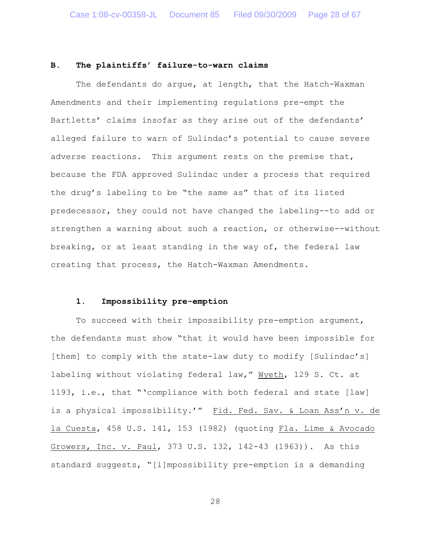### **B. The plaintiffs' failure-to-warn claims**

The defendants do argue, at length, that the Hatch-Waxman Amendments and their implementing regulations pre-empt the Bartletts' claims insofar as they arise out of the defendants' alleged failure to warn of Sulindac's potential to cause severe adverse reactions. This argument rests on the premise that, because the FDA approved Sulindac under a process that required the drug's labeling to be "the same as" that of its listed predecessor, they could not have changed the labeling--to add or strengthen a warning about such a reaction, or otherwise--without breaking, or at least standing in the way of, the federal law creating that process, the Hatch-Waxman Amendments.

### **1. Impossibility pre-emption**

To succeed with their impossibility pre-emption argument, the defendants must show "that it would have been impossible for [them] to comply with the state-law duty to modify [Sulindac's] labeling without violating federal law," Wyeth, 129 S. Ct. at 1193, i.e., that "'compliance with both federal and state [law] is a physical impossibility.'" Fid. Fed. Sav. & Loan Ass'n v. de la Cuesta, 458 U.S. 141, 153 (1982) (quoting Fla. Lime & Avocado Growers, Inc. v. Paul, 373 U.S. 132, 142-43 (1963)). As this standard suggests, "[i]mpossibility pre-emption is a demanding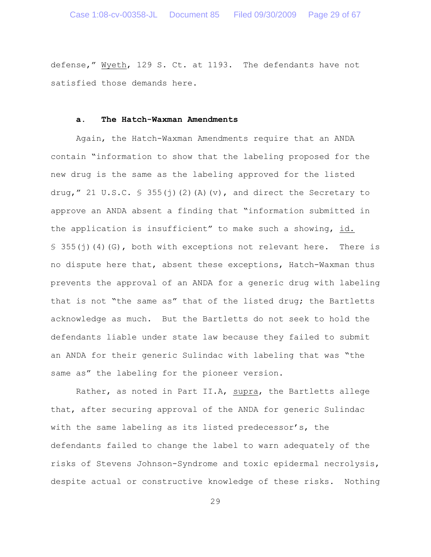defense," Wyeth, 129 S. Ct. at 1193. The defendants have not satisfied those demands here.

#### **a. The Hatch-Waxman Amendments**

Again, the Hatch-Waxman Amendments require that an ANDA contain "information to show that the labeling proposed for the new drug is the same as the labeling approved for the listed drug," 21 U.S.C.  $\frac{1}{5}$  355(j)(2)(A)(v), and direct the Secretary to approve an ANDA absent a finding that "information submitted in the application is insufficient" to make such a showing, id.  $\S$  355(j)(4)(G), both with exceptions not relevant here. There is no dispute here that, absent these exceptions, Hatch-Waxman thus prevents the approval of an ANDA for a generic drug with labeling that is not "the same as" that of the listed drug; the Bartletts acknowledge as much. But the Bartletts do not seek to hold the defendants liable under state law because they failed to submit an ANDA for their generic Sulindac with labeling that was "the same as" the labeling for the pioneer version.

Rather, as noted in Part II.A, supra, the Bartletts allege that, after securing approval of the ANDA for generic Sulindac with the same labeling as its listed predecessor's, the defendants failed to change the label to warn adequately of the risks of Stevens Johnson-Syndrome and toxic epidermal necrolysis, despite actual or constructive knowledge of these risks. Nothing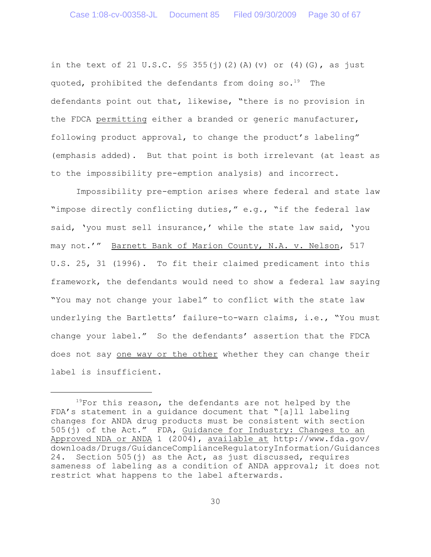in the text of 21 U.S.C.  $\frac{1}{5}$  355(j)(2)(A)(v) or (4)(G), as just quoted, prohibited the defendants from doing  $so.^{19}$  The defendants point out that, likewise, "there is no provision in the FDCA permitting either a branded or generic manufacturer, following product approval, to change the product's labeling" (emphasis added). But that point is both irrelevant (at least as to the impossibility pre-emption analysis) and incorrect.

Impossibility pre-emption arises where federal and state law "impose directly conflicting duties," e.g., "if the federal law said, 'you must sell insurance,' while the state law said, 'you may not.'" Barnett Bank of Marion County, N.A. v. Nelson, 517 U.S. 25, 31 (1996). To fit their claimed predicament into this framework, the defendants would need to show a federal law saying "You may not change your label" to conflict with the state law underlying the Bartletts' failure-to-warn claims, i.e., "You must change your label." So the defendants' assertion that the FDCA does not say one way or the other whether they can change their label is insufficient.

 $19$ For this reason, the defendants are not helped by the FDA's statement in a guidance document that "[a]ll labeling changes for ANDA drug products must be consistent with section 505(j) of the Act." FDA, Guidance for Industry: Changes to an Approved NDA or ANDA 1 (2004), available at http://www.fda.gov/ downloads/Drugs/GuidanceComplianceRegulatoryInformation/Guidances 24. Section 505(j) as the Act, as just discussed, requires sameness of labeling as a condition of ANDA approval; it does not restrict what happens to the label afterwards.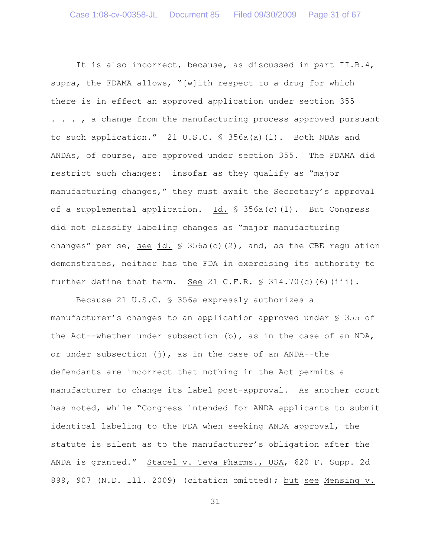It is also incorrect, because, as discussed in part II.B.4, supra, the FDAMA allows, "[w]ith respect to a drug for which there is in effect an approved application under section 355 . . . , a change from the manufacturing process approved pursuant to such application." 21 U.S.C. § 356a(a)(1). Both NDAs and ANDAs, of course, are approved under section 355. The FDAMA did restrict such changes: insofar as they qualify as "major manufacturing changes," they must await the Secretary's approval of a supplemental application. Id. § 356a(c)(1). But Congress did not classify labeling changes as "major manufacturing changes" per se, see id.  $\frac{1}{5}$  356a(c)(2), and, as the CBE regulation demonstrates, neither has the FDA in exercising its authority to further define that term. See 21 C.F.R.  $\frac{1}{5}$  314.70(c)(6)(iii).

Because 21 U.S.C. § 356a expressly authorizes a manufacturer's changes to an application approved under § 355 of the Act--whether under subsection (b), as in the case of an NDA, or under subsection  $(j)$ , as in the case of an ANDA--the defendants are incorrect that nothing in the Act permits a manufacturer to change its label post-approval. As another court has noted, while "Congress intended for ANDA applicants to submit identical labeling to the FDA when seeking ANDA approval, the statute is silent as to the manufacturer's obligation after the ANDA is granted." Stacel v. Teva Pharms., USA, 620 F. Supp. 2d 899, 907 (N.D. Ill. 2009) (citation omitted); but see Mensing v.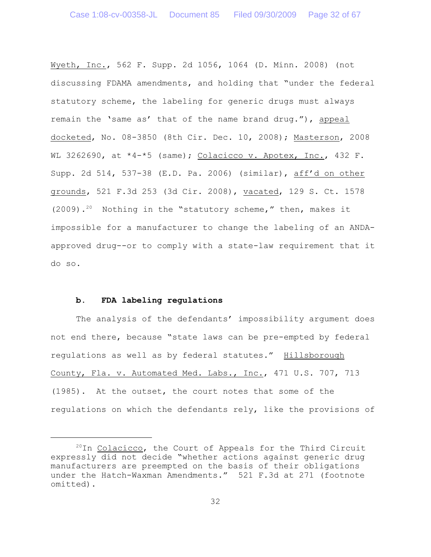Wyeth, Inc., 562 F. Supp. 2d 1056, 1064 (D. Minn. 2008) (not discussing FDAMA amendments, and holding that "under the federal statutory scheme, the labeling for generic drugs must always remain the 'same as' that of the name brand drug."), appeal docketed, No. 08-3850 (8th Cir. Dec. 10, 2008); Masterson, 2008 WL 3262690, at  $*4-*5$  (same); Colacicco v. Apotex, Inc., 432 F. Supp. 2d 514, 537-38 (E.D. Pa. 2006) (similar), aff'd on other grounds, 521 F.3d 253 (3d Cir. 2008), vacated, 129 S. Ct. 1578 (2009).<sup>20</sup> Nothing in the "statutory scheme," then, makes it impossible for a manufacturer to change the labeling of an ANDAapproved drug--or to comply with a state-law requirement that it do so.

#### **b. FDA labeling regulations**

The analysis of the defendants' impossibility argument does not end there, because "state laws can be pre-empted by federal regulations as well as by federal statutes." Hillsborough County, Fla. v. Automated Med. Labs., Inc., 471 U.S. 707, 713 (1985). At the outset, the court notes that some of the regulations on which the defendants rely, like the provisions of

 $^{20}$ In Colacicco, the Court of Appeals for the Third Circuit expressly did not decide "whether actions against generic drug manufacturers are preempted on the basis of their obligations under the Hatch-Waxman Amendments." 521 F.3d at 271 (footnote omitted).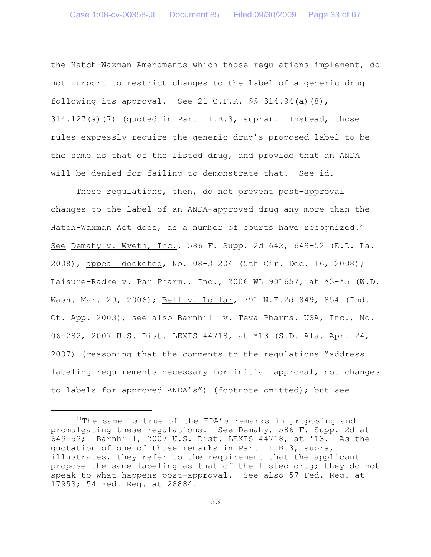the Hatch-Waxman Amendments which those regulations implement, do not purport to restrict changes to the label of a generic drug following its approval. See 21 C.F.R.  $\$  314.94(a)(8), 314.127(a)(7) (quoted in Part II.B.3, supra). Instead, those rules expressly require the generic drug's proposed label to be the same as that of the listed drug, and provide that an ANDA will be denied for failing to demonstrate that. See id.

These regulations, then, do not prevent post-approval changes to the label of an ANDA-approved drug any more than the Hatch-Waxman Act does, as a number of courts have recognized.<sup>21</sup> See Demahy v. Wyeth, Inc., 586 F. Supp. 2d 642, 649-52 (E.D. La. 2008), appeal docketed, No. 08-31204 (5th Cir. Dec. 16, 2008); Laisure-Radke v. Par Pharm., Inc., 2006 WL 901657, at \*3-\*5 (W.D. Wash. Mar. 29, 2006); Bell v. Lollar, 791 N.E.2d 849, 854 (Ind. Ct. App. 2003); see also Barnhill v. Teva Pharms. USA, Inc., No. 06-282, 2007 U.S. Dist. LEXIS 44718, at \*13 (S.D. Ala. Apr. 24, 2007) (reasoning that the comments to the regulations "address labeling requirements necessary for initial approval, not changes to labels for approved ANDA's") (footnote omitted); but see

 $21$ The same is true of the FDA's remarks in proposing and promulgating these regulations. See Demahy, 586 F. Supp. 2d at 649-52; Barnhill, 2007 U.S. Dist. LEXIS 44718, at \*13. As the quotation of one of those remarks in Part II.B.3, supra, illustrates, they refer to the requirement that the applicant propose the same labeling as that of the listed drug; they do not speak to what happens post-approval. See also 57 Fed. Req. at 17953; 54 Fed. Reg. at 28884.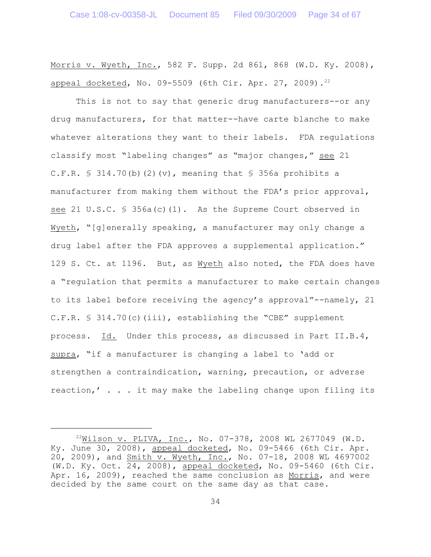Morris v. Wyeth, Inc., 582 F. Supp. 2d 861, 868 (W.D. Ky. 2008), appeal docketed, No. 09-5509 (6th Cir. Apr. 27, 2009).<sup>22</sup>

This is not to say that generic drug manufacturers--or any drug manufacturers, for that matter--have carte blanche to make whatever alterations they want to their labels. FDA regulations classify most "labeling changes" as "major changes," see 21 C.F.R.  $\text{\$}$  314.70(b)(2)(v), meaning that  $\text{\$}$  356a prohibits a manufacturer from making them without the FDA's prior approval, see 21 U.S.C. § 356a(c)(1). As the Supreme Court observed in Wyeth, "[g]enerally speaking, a manufacturer may only change a drug label after the FDA approves a supplemental application." 129 S. Ct. at 1196. But, as Wyeth also noted, the FDA does have a "regulation that permits a manufacturer to make certain changes to its label before receiving the agency's approval"--namely, 21  $C.F.R. \$ 314.70(c)(iii)$ , establishing the "CBE" supplement process. Id. Under this process, as discussed in Part II.B.4, supra, "if a manufacturer is changing a label to 'add or strengthen a contraindication, warning, precaution, or adverse reaction,' . . . it may make the labeling change upon filing its

 $^{22}$ Wilson v. PLIVA, Inc., No. 07-378, 2008 WL 2677049 (W.D. Ky. June 30, 2008), appeal docketed, No. 09-5466 (6th Cir. Apr. 20, 2009), and Smith v. Wyeth, Inc., No. 07-18, 2008 WL 4697002 (W.D. Ky. Oct. 24, 2008), appeal docketed, No. 09-5460 (6th Cir. Apr. 16, 2009), reached the same conclusion as Morris, and were decided by the same court on the same day as that case.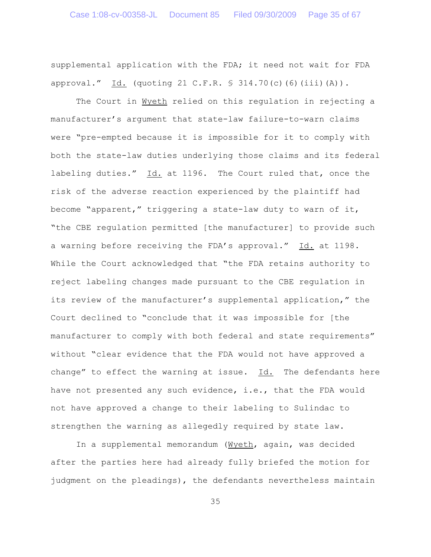supplemental application with the FDA; it need not wait for FDA approval." Id. (quoting 21 C.F.R. § 314.70(c)(6)(iii)(A)).

The Court in Wyeth relied on this regulation in rejecting a manufacturer's argument that state-law failure-to-warn claims were "pre-empted because it is impossible for it to comply with both the state-law duties underlying those claims and its federal labeling duties." Id. at 1196. The Court ruled that, once the risk of the adverse reaction experienced by the plaintiff had become "apparent," triggering a state-law duty to warn of it, "the CBE regulation permitted [the manufacturer] to provide such a warning before receiving the FDA's approval." Id. at 1198. While the Court acknowledged that "the FDA retains authority to reject labeling changes made pursuant to the CBE regulation in its review of the manufacturer's supplemental application," the Court declined to "conclude that it was impossible for [the manufacturer to comply with both federal and state requirements" without "clear evidence that the FDA would not have approved a change" to effect the warning at issue. Id. The defendants here have not presented any such evidence, i.e., that the FDA would not have approved a change to their labeling to Sulindac to strengthen the warning as allegedly required by state law.

In a supplemental memorandum (Wyeth, again, was decided after the parties here had already fully briefed the motion for judgment on the pleadings), the defendants nevertheless maintain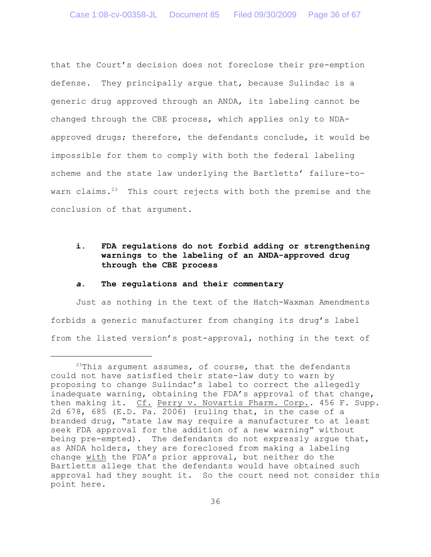that the Court's decision does not foreclose their pre-emption defense. They principally argue that, because Sulindac is a generic drug approved through an ANDA, its labeling cannot be changed through the CBE process, which applies only to NDAapproved drugs; therefore, the defendants conclude, it would be impossible for them to comply with both the federal labeling scheme and the state law underlying the Bartletts' failure-towarn claims. $23$  This court rejects with both the premise and the conclusion of that argument.

# **i. FDA regulations do not forbid adding or strengthening warnings to the labeling of an ANDA-approved drug through the CBE process**

#### *a***. The regulations and their commentary**

Just as nothing in the text of the Hatch-Waxman Amendments forbids a generic manufacturer from changing its drug's label from the listed version's post-approval, nothing in the text of

<sup>&</sup>lt;sup>23</sup>This argument assumes, of course, that the defendants could not have satisfied their state-law duty to warn by proposing to change Sulindac's label to correct the allegedly inadequate warning, obtaining the FDA's approval of that change, then making it. Cf. Perry v. Novartis Pharm. Corp.. 456 F. Supp. 2d 678, 685 (E.D. Pa. 2006) (ruling that, in the case of a branded drug, "state law may require a manufacturer to at least seek FDA approval for the addition of a new warning" without being pre-empted). The defendants do not expressly argue that, as ANDA holders, they are foreclosed from making a labeling change with the FDA's prior approval, but neither do the Bartletts allege that the defendants would have obtained such approval had they sought it. So the court need not consider this point here.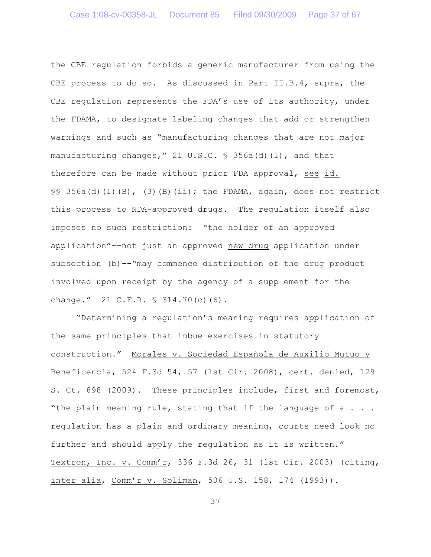the CBE regulation forbids a generic manufacturer from using the CBE process to do so. As discussed in Part II.B.4, supra, the CBE regulation represents the FDA's use of its authority, under the FDAMA, to designate labeling changes that add or strengthen warnings and such as "manufacturing changes that are not major manufacturing changes," 21 U.S.C. § 356a(d)(1), and that therefore can be made without prior FDA approval, see id.  $\S$ § 356a(d)(1)(B), (3)(B)(ii); the FDAMA, again, does not restrict this process to NDA-approved drugs. The regulation itself also imposes no such restriction: "the holder of an approved application"--not just an approved new drug application under subsection (b)--"may commence distribution of the drug product involved upon receipt by the agency of a supplement for the change." 21 C.F.R. § 314.70(c)(6).

"Determining a regulation's meaning requires application of the same principles that imbue exercises in statutory construction." Morales v. Sociedad Española de Auxilio Mutuo y Beneficencia, 524 F.3d 54, 57 (1st Cir. 2008), cert. denied, 129 S. Ct. 898 (2009). These principles include, first and foremost, "the plain meaning rule, stating that if the language of a . . . regulation has a plain and ordinary meaning, courts need look no further and should apply the regulation as it is written." Textron, Inc. v. Comm'r, 336 F.3d 26, 31 (1st Cir. 2003) (citing, inter alia, Comm'r v. Soliman, 506 U.S. 158, 174 (1993)).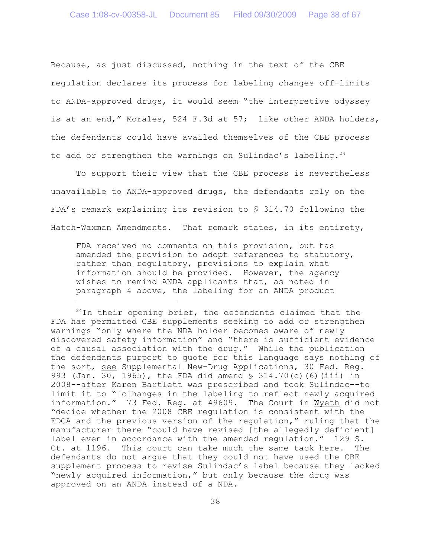Because, as just discussed, nothing in the text of the CBE regulation declares its process for labeling changes off-limits to ANDA-approved drugs, it would seem "the interpretive odyssey is at an end," Morales, 524 F.3d at 57; like other ANDA holders, the defendants could have availed themselves of the CBE process to add or strengthen the warnings on Sulindac's labeling.<sup>24</sup>

To support their view that the CBE process is nevertheless unavailable to ANDA-approved drugs, the defendants rely on the FDA's remark explaining its revision to § 314.70 following the Hatch-Waxman Amendments. That remark states, in its entirety,

FDA received no comments on this provision, but has amended the provision to adopt references to statutory, rather than regulatory, provisions to explain what information should be provided. However, the agency wishes to remind ANDA applicants that, as noted in paragraph 4 above, the labeling for an ANDA product

 $14$ In their opening brief, the defendants claimed that the FDA has permitted CBE supplements seeking to add or strengthen warnings "only where the NDA holder becomes aware of newly discovered safety information" and "there is sufficient evidence of a causal association with the drug." While the publication the defendants purport to quote for this language says nothing of the sort, see Supplemental New-Drug Applications, 30 Fed. Reg. 993 (Jan. 30, 1965), the FDA did amend § 314.70(c)(6)(iii) in 2008--after Karen Bartlett was prescribed and took Sulindac--to limit it to "[c]hanges in the labeling to reflect newly acquired information." 73 Fed. Reg. at 49609. The Court in Wyeth did not "decide whether the 2008 CBE regulation is consistent with the FDCA and the previous version of the regulation," ruling that the manufacturer there "could have revised [the allegedly deficient] label even in accordance with the amended regulation." 129 S. Ct. at 1196. This court can take much the same tack here. The defendants do not argue that they could not have used the CBE supplement process to revise Sulindac's label because they lacked "newly acquired information," but only because the drug was approved on an ANDA instead of a NDA.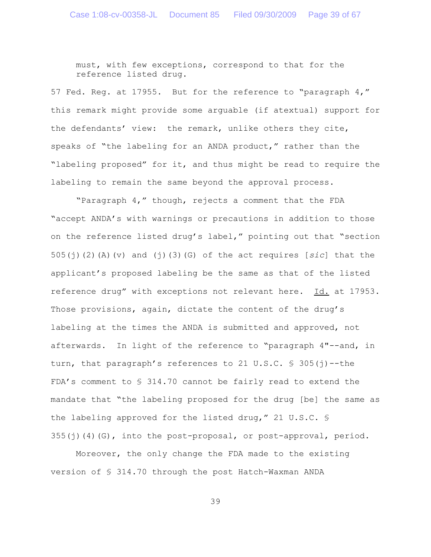must, with few exceptions, correspond to that for the reference listed drug.

57 Fed. Reg. at 17955. But for the reference to "paragraph 4," this remark might provide some arguable (if atextual) support for the defendants' view: the remark, unlike others they cite, speaks of "the labeling for an ANDA product," rather than the "labeling proposed" for it, and thus might be read to require the labeling to remain the same beyond the approval process.

"Paragraph 4," though, rejects a comment that the FDA "accept ANDA's with warnings or precautions in addition to those on the reference listed drug's label," pointing out that "section 505(j)(2)(A)(v) and (j)(3)(G) of the act requires [*sic*] that the applicant's proposed labeling be the same as that of the listed reference drug" with exceptions not relevant here. Id. at 17953. Those provisions, again, dictate the content of the drug's labeling at the times the ANDA is submitted and approved, not afterwards. In light of the reference to "paragraph 4"--and, in turn, that paragraph's references to 21 U.S.C.  $\frac{1}{5}$  305(j)--the FDA's comment to § 314.70 cannot be fairly read to extend the mandate that "the labeling proposed for the drug [be] the same as the labeling approved for the listed drug," 21 U.S.C. §  $355(j)(4)(G)$ , into the post-proposal, or post-approval, period.

Moreover, the only change the FDA made to the existing version of § 314.70 through the post Hatch-Waxman ANDA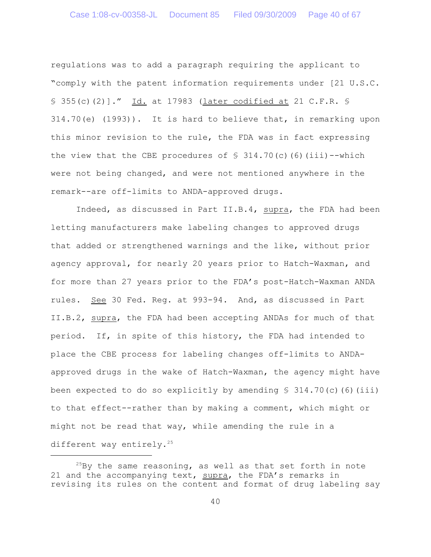regulations was to add a paragraph requiring the applicant to "comply with the patent information requirements under [21 U.S.C. § 355(c)(2)]." Id. at 17983 (later codified at 21 C.F.R. § 314.70(e) (1993)). It is hard to believe that, in remarking upon this minor revision to the rule, the FDA was in fact expressing the view that the CBE procedures of  $\S$  314.70(c)(6)(iii)--which were not being changed, and were not mentioned anywhere in the remark--are off-limits to ANDA-approved drugs.

Indeed, as discussed in Part II.B.4, supra, the FDA had been letting manufacturers make labeling changes to approved drugs that added or strengthened warnings and the like, without prior agency approval, for nearly 20 years prior to Hatch-Waxman, and for more than 27 years prior to the FDA's post-Hatch-Waxman ANDA rules. See 30 Fed. Reg. at 993-94. And, as discussed in Part II.B.2, supra, the FDA had been accepting ANDAs for much of that period. If, in spite of this history, the FDA had intended to place the CBE process for labeling changes off-limits to ANDAapproved drugs in the wake of Hatch-Waxman, the agency might have been expected to do so explicitly by amending  $\S$  314.70(c)(6)(iii) to that effect--rather than by making a comment, which might or might not be read that way, while amending the rule in a different way entirely.<sup>25</sup>

 $^{25}$ By the same reasoning, as well as that set forth in note 21 and the accompanying text, supra, the FDA's remarks in revising its rules on the content and format of drug labeling say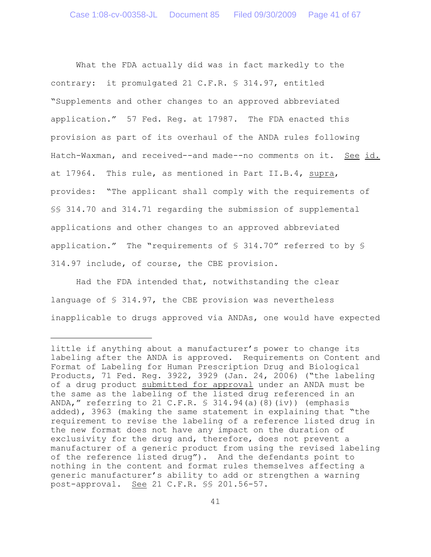What the FDA actually did was in fact markedly to the contrary: it promulgated 21 C.F.R. § 314.97, entitled "Supplements and other changes to an approved abbreviated application." 57 Fed. Reg. at 17987. The FDA enacted this provision as part of its overhaul of the ANDA rules following Hatch-Waxman, and received--and made--no comments on it. See id. at 17964. This rule, as mentioned in Part II.B.4, supra, provides: "The applicant shall comply with the requirements of §§ 314.70 and 314.71 regarding the submission of supplemental applications and other changes to an approved abbreviated application." The "requirements of § 314.70" referred to by § 314.97 include, of course, the CBE provision.

Had the FDA intended that, notwithstanding the clear language of § 314.97, the CBE provision was nevertheless inapplicable to drugs approved via ANDAs, one would have expected

little if anything about a manufacturer's power to change its labeling after the ANDA is approved. Requirements on Content and Format of Labeling for Human Prescription Drug and Biological Products, 71 Fed. Reg. 3922, 3929 (Jan. 24, 2006) ("the labeling of a drug product submitted for approval under an ANDA must be the same as the labeling of the listed drug referenced in an ANDA," referring to 21 C.F.R.  $\frac{1}{5}$  314.94(a)(8)(iv)) (emphasis added), 3963 (making the same statement in explaining that "the requirement to revise the labeling of a reference listed drug in the new format does not have any impact on the duration of exclusivity for the drug and, therefore, does not prevent a manufacturer of a generic product from using the revised labeling of the reference listed drug"). And the defendants point to nothing in the content and format rules themselves affecting a generic manufacturer's ability to add or strengthen a warning post-approval. See 21 C.F.R. §§ 201.56-57.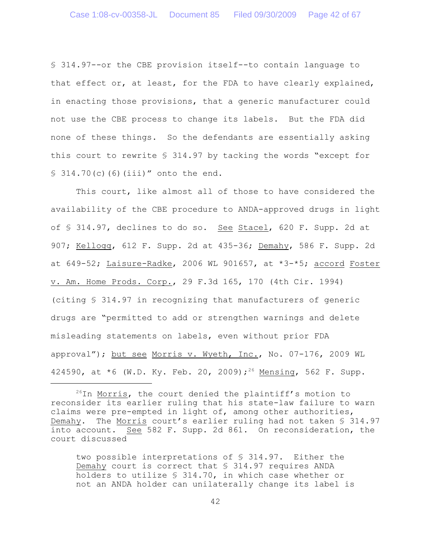§ 314.97--or the CBE provision itself--to contain language to that effect or, at least, for the FDA to have clearly explained, in enacting those provisions, that a generic manufacturer could not use the CBE process to change its labels. But the FDA did none of these things. So the defendants are essentially asking this court to rewrite § 314.97 by tacking the words "except for  $$314.70(c)(6)(iii)'$  onto the end.

This court, like almost all of those to have considered the availability of the CBE procedure to ANDA-approved drugs in light of § 314.97, declines to do so. See Stacel, 620 F. Supp. 2d at 907; Kellogg, 612 F. Supp. 2d at 435-36; Demahy, 586 F. Supp. 2d at  $649-52$ ; Laisure-Radke, 2006 WL 901657, at  $*3-*5$ ; accord Foster v. Am. Home Prods. Corp., 29 F.3d 165, 170 (4th Cir. 1994) (citing § 314.97 in recognizing that manufacturers of generic drugs are "permitted to add or strengthen warnings and delete misleading statements on labels, even without prior FDA approval"); but see Morris v. Wyeth, Inc., No. 07-176, 2009 WL 424590, at  $*6$  (W.D. Ky. Feb. 20, 2009);<sup>26</sup> Mensing, 562 F. Supp.

two possible interpretations of § 314.97. Either the Demahy court is correct that § 314.97 requires ANDA holders to utilize § 314.70, in which case whether or not an ANDA holder can unilaterally change its label is

 $26$ In Morris, the court denied the plaintiff's motion to reconsider its earlier ruling that his state-law failure to warn claims were pre-empted in light of, among other authorities, Demahy. The Morris court's earlier ruling had not taken § 314.97 into account. See 582 F. Supp. 2d 861. On reconsideration, the court discussed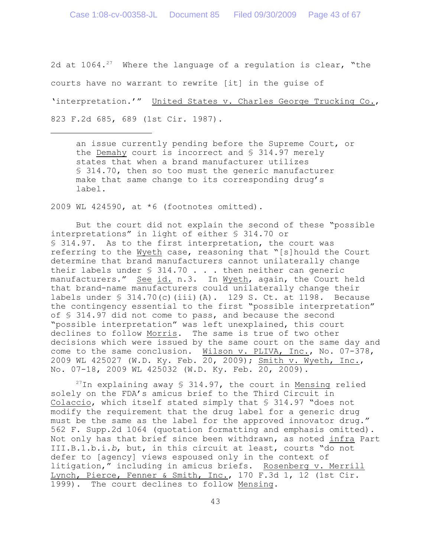2d at  $1064.^{27}$  Where the language of a regulation is clear, "the courts have no warrant to rewrite [it] in the guise of 'interpretation.'" United States v. Charles George Trucking Co., 823 F.2d 685, 689 (1st Cir. 1987).

an issue currently pending before the Supreme Court, or the Demahy court is incorrect and § 314.97 merely states that when a brand manufacturer utilizes § 314.70, then so too must the generic manufacturer make that same change to its corresponding drug's label.

2009 WL 424590, at \*6 (footnotes omitted).

But the court did not explain the second of these "possible interpretations" in light of either § 314.70 or § 314.97. As to the first interpretation, the court was referring to the Wyeth case, reasoning that "[s]hould the Court determine that brand manufacturers cannot unilaterally change their labels under  $\frac{1}{2}$  314.70 . . . then neither can generic manufacturers." See id. n.3. In Wyeth, again, the Court held that brand-name manufacturers could unilaterally change their labels under § 314.70(c)(iii)(A). 129 S. Ct. at 1198. Because the contingency essential to the first "possible interpretation" of § 314.97 did not come to pass, and because the second "possible interpretation" was left unexplained, this court declines to follow Morris. The same is true of two other decisions which were issued by the same court on the same day and come to the same conclusion. Wilson v. PLIVA, Inc., No. 07-378, 2009 WL 425027 (W.D. Ky. Feb. 20, 2009); Smith v. Wyeth, Inc., No. 07-18, 2009 WL 425032 (W.D. Ky. Feb. 20, 2009).

 $27$ In explaining away § 314.97, the court in Mensing relied solely on the FDA's amicus brief to the Third Circuit in Colaccio, which itself stated simply that § 314.97 "does not modify the requirement that the drug label for a generic drug must be the same as the label for the approved innovator drug." 562 F. Supp.2d 1064 (quotation formatting and emphasis omitted). Not only has that brief since been withdrawn, as noted infra Part III.B.1.b.i.*b*, but, in this circuit at least, courts "do not defer to [agency] views espoused only in the context of litigation," including in amicus briefs. Rosenberg v. Merrill Lynch, Pierce, Fenner & Smith, Inc., 170 F.3d 1, 12 (1st Cir. 1999). The court declines to follow Mensing.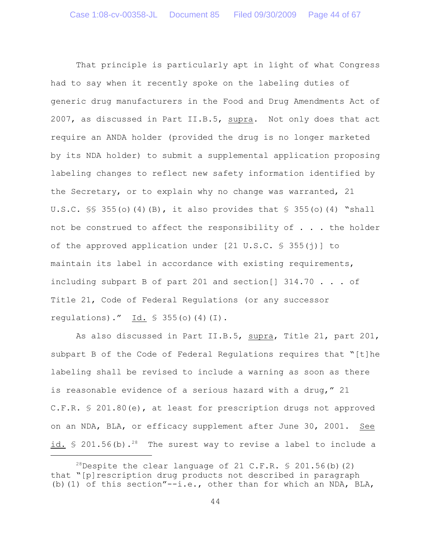That principle is particularly apt in light of what Congress had to say when it recently spoke on the labeling duties of generic drug manufacturers in the Food and Drug Amendments Act of 2007, as discussed in Part II.B.5, supra. Not only does that act require an ANDA holder (provided the drug is no longer marketed by its NDA holder) to submit a supplemental application proposing labeling changes to reflect new safety information identified by the Secretary, or to explain why no change was warranted, 21 U.S.C.  $\frac{1}{5}$  355(o)(4)(B), it also provides that  $\frac{1}{5}$  355(o)(4) "shall not be construed to affect the responsibility of . . . the holder of the approved application under  $[21 \text{ U.S.C. } $ 355(j)]$  to maintain its label in accordance with existing requirements, including subpart B of part 201 and section[]  $314.70$  ... of Title 21, Code of Federal Regulations (or any successor regulations)." Id.  $\frac{1}{5}$  355(o)(4)(I).

As also discussed in Part II.B.5, supra, Title 21, part 201, subpart B of the Code of Federal Regulations requires that "[t]he labeling shall be revised to include a warning as soon as there is reasonable evidence of a serious hazard with a drug," 21 C.F.R. § 201.80(e), at least for prescription drugs not approved on an NDA, BLA, or efficacy supplement after June 30, 2001. See id.  $\frac{6}{5}$  201.56(b).<sup>28</sup> The surest way to revise a label to include a

<sup>&</sup>lt;sup>28</sup>Despite the clear language of 21 C.F.R.  $\frac{6}{5}$  201.56(b)(2) that "[p]rescription drug products not described in paragraph (b)(1) of this section"--i.e., other than for which an NDA, BLA,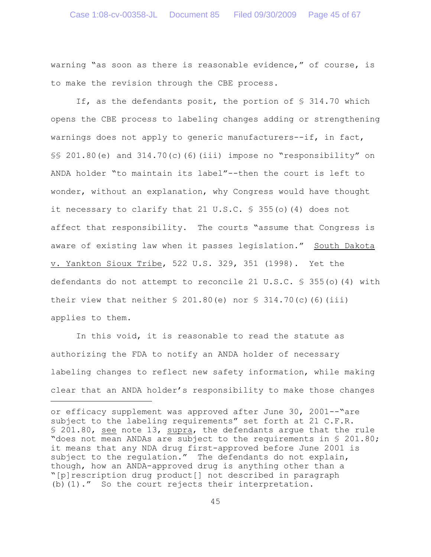warning "as soon as there is reasonable evidence," of course, is to make the revision through the CBE process.

If, as the defendants posit, the portion of § 314.70 which opens the CBE process to labeling changes adding or strengthening warnings does not apply to generic manufacturers--if, in fact,  $\S$ § 201.80(e) and 314.70(c)(6)(iii) impose no "responsibility" on ANDA holder "to maintain its label"--then the court is left to wonder, without an explanation, why Congress would have thought it necessary to clarify that 21 U.S.C. § 355(o)(4) does not affect that responsibility. The courts "assume that Congress is aware of existing law when it passes legislation." South Dakota v. Yankton Sioux Tribe, 522 U.S. 329, 351 (1998). Yet the defendants do not attempt to reconcile 21 U.S.C. § 355(o)(4) with their view that neither  $\frac{1}{2}$  201.80(e) nor  $\frac{1}{2}$  314.70(c)(6)(iii) applies to them.

In this void, it is reasonable to read the statute as authorizing the FDA to notify an ANDA holder of necessary labeling changes to reflect new safety information, while making clear that an ANDA holder's responsibility to make those changes

or efficacy supplement was approved after June 30, 2001--"are subject to the labeling requirements" set forth at 21 C.F.R. § 201.80, see note 13, supra, the defendants argue that the rule "does not mean ANDAs are subject to the requirements in § 201.80; it means that any NDA drug first-approved before June 2001 is subject to the regulation." The defendants do not explain, though, how an ANDA-approved drug is anything other than a "[p]rescription drug product[] not described in paragraph (b)(1)." So the court rejects their interpretation.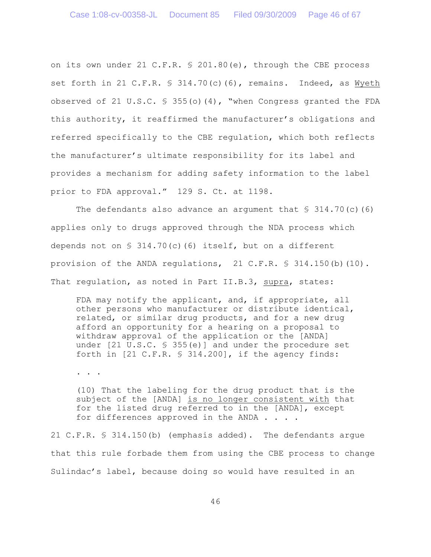on its own under 21 C.F.R. § 201.80(e), through the CBE process set forth in 21 C.F.R.  $\frac{1}{5}$  314.70(c)(6), remains. Indeed, as Wyeth observed of 21 U.S.C.  $\frac{1}{5}$  355(o)(4), "when Congress granted the FDA this authority, it reaffirmed the manufacturer's obligations and referred specifically to the CBE regulation, which both reflects the manufacturer's ultimate responsibility for its label and provides a mechanism for adding safety information to the label prior to FDA approval." 129 S. Ct. at 1198.

The defendants also advance an argument that  $\S$  314.70(c)(6) applies only to drugs approved through the NDA process which depends not on  $\$$  314.70(c)(6) itself, but on a different provision of the ANDA regulations,  $21$  C.F.R.  $\frac{1}{5}$  314.150(b)(10). That regulation, as noted in Part II.B.3, supra, states:

FDA may notify the applicant, and, if appropriate, all other persons who manufacturer or distribute identical, related, or similar drug products, and for a new drug afford an opportunity for a hearing on a proposal to withdraw approval of the application or the [ANDA] under [21 U.S.C. § 355(e)] and under the procedure set forth in  $[21 \text{ C.F.R. } $314.200]$ , if the agency finds:

. . .

(10) That the labeling for the drug product that is the subject of the [ANDA] is no longer consistent with that for the listed drug referred to in the [ANDA], except for differences approved in the ANDA . . . .

21 C.F.R. § 314.150(b) (emphasis added). The defendants argue that this rule forbade them from using the CBE process to change Sulindac's label, because doing so would have resulted in an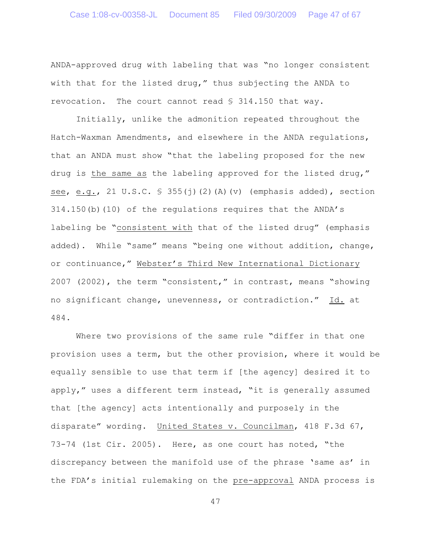ANDA-approved drug with labeling that was "no longer consistent with that for the listed drug," thus subjecting the ANDA to revocation. The court cannot read § 314.150 that way.

Initially, unlike the admonition repeated throughout the Hatch-Waxman Amendments, and elsewhere in the ANDA regulations, that an ANDA must show "that the labeling proposed for the new drug is the same as the labeling approved for the listed drug," see, e.g., 21 U.S.C.  $\frac{1}{5}$  355(j)(2)(A)(v) (emphasis added), section 314.150(b)(10) of the regulations requires that the ANDA's labeling be "consistent with that of the listed drug" (emphasis added). While "same" means "being one without addition, change, or continuance," Webster's Third New International Dictionary 2007 (2002), the term "consistent," in contrast, means "showing no significant change, unevenness, or contradiction." Id. at 484.

Where two provisions of the same rule "differ in that one provision uses a term, but the other provision, where it would be equally sensible to use that term if [the agency] desired it to apply," uses a different term instead, "it is generally assumed that [the agency] acts intentionally and purposely in the disparate" wording. United States v. Councilman, 418 F.3d 67, 73-74 (1st Cir. 2005). Here, as one court has noted, "the discrepancy between the manifold use of the phrase 'same as' in the FDA's initial rulemaking on the pre-approval ANDA process is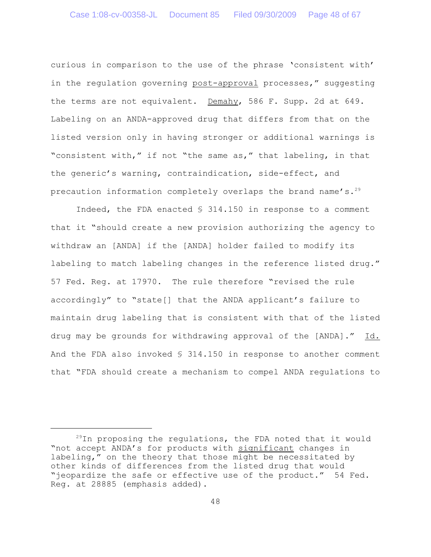curious in comparison to the use of the phrase 'consistent with' in the regulation governing post-approval processes," suggesting the terms are not equivalent. Demahy, 586 F. Supp. 2d at 649. Labeling on an ANDA-approved drug that differs from that on the listed version only in having stronger or additional warnings is "consistent with," if not "the same as," that labeling, in that the generic's warning, contraindication, side-effect, and precaution information completely overlaps the brand name's.<sup>29</sup>

Indeed, the FDA enacted § 314.150 in response to a comment that it "should create a new provision authorizing the agency to withdraw an [ANDA] if the [ANDA] holder failed to modify its labeling to match labeling changes in the reference listed drug." 57 Fed. Reg. at 17970. The rule therefore "revised the rule accordingly" to "state[] that the ANDA applicant's failure to maintain drug labeling that is consistent with that of the listed drug may be grounds for withdrawing approval of the [ANDA]." Id. And the FDA also invoked  $S$  314.150 in response to another comment that "FDA should create a mechanism to compel ANDA regulations to

 $29$ In proposing the regulations, the FDA noted that it would "not accept ANDA's for products with significant changes in labeling," on the theory that those might be necessitated by other kinds of differences from the listed drug that would "jeopardize the safe or effective use of the product." 54 Fed. Reg. at 28885 (emphasis added).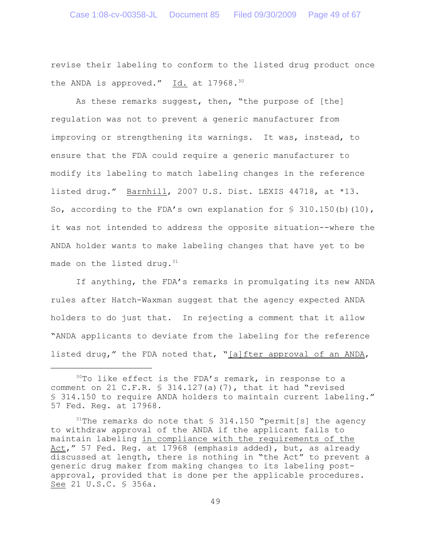revise their labeling to conform to the listed drug product once the ANDA is approved." Id. at 17968.<sup>30</sup>

As these remarks suggest, then, "the purpose of [the] regulation was not to prevent a generic manufacturer from improving or strengthening its warnings. It was, instead, to ensure that the FDA could require a generic manufacturer to modify its labeling to match labeling changes in the reference listed drug." Barnhill, 2007 U.S. Dist. LEXIS 44718, at \*13. So, according to the FDA's own explanation for  $\frac{1}{5}$  310.150(b)(10), it was not intended to address the opposite situation--where the ANDA holder wants to make labeling changes that have yet to be made on the listed drug. $31$ 

If anything, the FDA's remarks in promulgating its new ANDA rules after Hatch-Waxman suggest that the agency expected ANDA holders to do just that. In rejecting a comment that it allow "ANDA applicants to deviate from the labeling for the reference listed drug," the FDA noted that, "[a]fter approval of an ANDA,

 $30$ To like effect is the FDA's remark, in response to a comment on 21 C.F.R.  $\frac{1}{5}$  314.127(a)(7), that it had "revised § 314.150 to require ANDA holders to maintain current labeling." 57 Fed. Reg. at 17968.

<sup>&</sup>lt;sup>31</sup>The remarks do note that  $\frac{1}{2}$  314.150 "permit [s] the agency to withdraw approval of the ANDA if the applicant fails to maintain labeling in compliance with the requirements of the Act," 57 Fed. Reg. at 17968 (emphasis added), but, as already discussed at length, there is nothing in "the Act" to prevent a generic drug maker from making changes to its labeling postapproval, provided that is done per the applicable procedures. See 21 U.S.C. § 356a.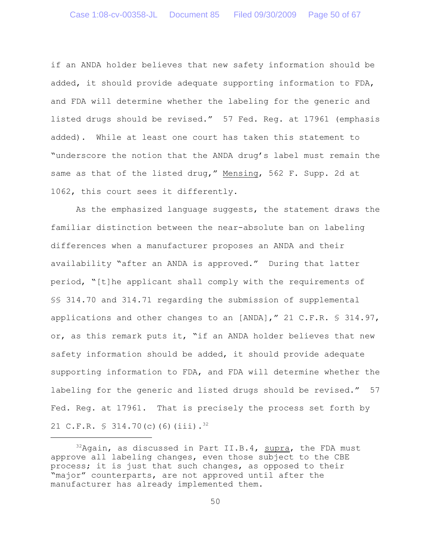if an ANDA holder believes that new safety information should be added, it should provide adequate supporting information to FDA, and FDA will determine whether the labeling for the generic and listed drugs should be revised." 57 Fed. Reg. at 17961 (emphasis added). While at least one court has taken this statement to "underscore the notion that the ANDA drug's label must remain the same as that of the listed drug," Mensing, 562 F. Supp. 2d at 1062, this court sees it differently.

As the emphasized language suggests, the statement draws the familiar distinction between the near-absolute ban on labeling differences when a manufacturer proposes an ANDA and their availability "after an ANDA is approved." During that latter period, "[t]he applicant shall comply with the requirements of §§ 314.70 and 314.71 regarding the submission of supplemental applications and other changes to an [ANDA]," 21 C.F.R. § 314.97, or, as this remark puts it, "if an ANDA holder believes that new safety information should be added, it should provide adequate supporting information to FDA, and FDA will determine whether the labeling for the generic and listed drugs should be revised." 57 Fed. Reg. at 17961. That is precisely the process set forth by 21 C.F.R.  $\frac{1}{2}$  314.70(c)(6)(iii).<sup>32</sup>

 $32$ Again, as discussed in Part II.B.4, supra, the FDA must approve all labeling changes, even those subject to the CBE process; it is just that such changes, as opposed to their "major" counterparts, are not approved until after the manufacturer has already implemented them.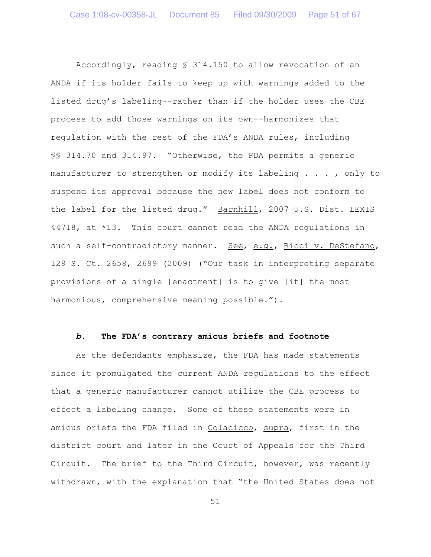Accordingly, reading § 314.150 to allow revocation of an ANDA if its holder fails to keep up with warnings added to the listed drug's labeling--rather than if the holder uses the CBE process to add those warnings on its own--harmonizes that regulation with the rest of the FDA's ANDA rules, including §§ 314.70 and 314.97. "Otherwise, the FDA permits a generic manufacturer to strengthen or modify its labeling . . . , only to suspend its approval because the new label does not conform to the label for the listed drug." Barnhill, 2007 U.S. Dist. LEXIS 44718, at \*13. This court cannot read the ANDA regulations in such a self-contradictory manner. See, e.g., Ricci v. DeStefano, 129 S. Ct. 2658, 2699 (2009) ("Our task in interpreting separate provisions of a single [enactment] is to give [it] the most harmonious, comprehensive meaning possible.").

# *b***. The FDA's contrary amicus briefs and footnote**

As the defendants emphasize, the FDA has made statements since it promulgated the current ANDA regulations to the effect that a generic manufacturer cannot utilize the CBE process to effect a labeling change. Some of these statements were in amicus briefs the FDA filed in Colacicco, supra, first in the district court and later in the Court of Appeals for the Third Circuit. The brief to the Third Circuit, however, was recently withdrawn, with the explanation that "the United States does not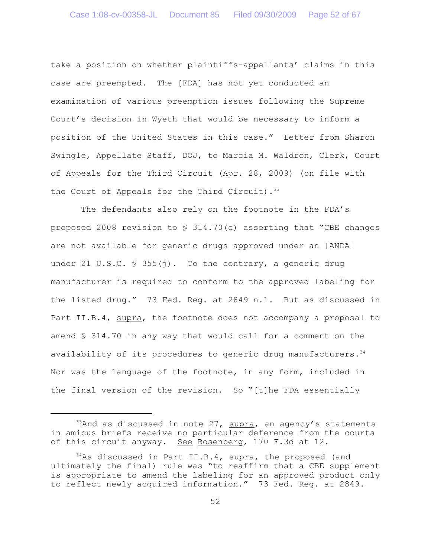take a position on whether plaintiffs-appellants' claims in this case are preempted. The [FDA] has not yet conducted an examination of various preemption issues following the Supreme Court's decision in Wyeth that would be necessary to inform a position of the United States in this case." Letter from Sharon Swingle, Appellate Staff, DOJ, to Marcia M. Waldron, Clerk, Court of Appeals for the Third Circuit (Apr. 28, 2009) (on file with the Court of Appeals for the Third Circuit).  $33$ 

The defendants also rely on the footnote in the FDA's proposed 2008 revision to  $\frac{1}{2}$  314.70(c) asserting that "CBE changes are not available for generic drugs approved under an [ANDA] under 21 U.S.C.  $\frac{1}{5}$  355(j). To the contrary, a generic drug manufacturer is required to conform to the approved labeling for the listed drug." 73 Fed. Reg. at 2849 n.1. But as discussed in Part II.B.4, supra, the footnote does not accompany a proposal to amend § 314.70 in any way that would call for a comment on the availability of its procedures to generic drug manufacturers. $34$ Nor was the language of the footnote, in any form, included in the final version of the revision. So "[t]he FDA essentially

 $33$ And as discussed in note 27, supra, an agency's statements in amicus briefs receive no particular deference from the courts of this circuit anyway. See Rosenberg, 170 F.3d at 12.

 $34$ As discussed in Part II.B.4, supra, the proposed (and ultimately the final) rule was "to reaffirm that a CBE supplement is appropriate to amend the labeling for an approved product only to reflect newly acquired information." 73 Fed. Reg. at 2849.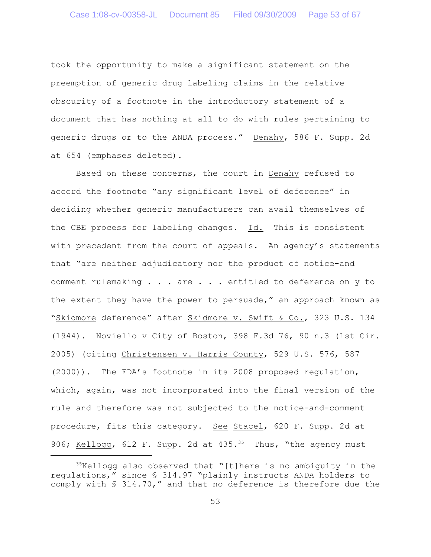took the opportunity to make a significant statement on the preemption of generic drug labeling claims in the relative obscurity of a footnote in the introductory statement of a document that has nothing at all to do with rules pertaining to generic drugs or to the ANDA process." Denahy, 586 F. Supp. 2d at 654 (emphases deleted).

Based on these concerns, the court in Denahy refused to accord the footnote "any significant level of deference" in deciding whether generic manufacturers can avail themselves of the CBE process for labeling changes. Id. This is consistent with precedent from the court of appeals. An agency's statements that "are neither adjudicatory nor the product of notice-and comment rulemaking . . . are . . . entitled to deference only to the extent they have the power to persuade," an approach known as "Skidmore deference" after Skidmore v. Swift & Co., 323 U.S. 134 (1944). Noviello v City of Boston, 398 F.3d 76, 90 n.3 (1st Cir. 2005) (citing Christensen v. Harris County, 529 U.S. 576, 587 (2000)). The FDA's footnote in its 2008 proposed regulation, which, again, was not incorporated into the final version of the rule and therefore was not subjected to the notice-and-comment procedure, fits this category. See Stacel, 620 F. Supp. 2d at 906; Kellogg, 612 F. Supp. 2d at 435.<sup>35</sup> Thus, "the agency must

 $35$ Kellogg also observed that "[t]here is no ambiguity in the regulations," since § 314.97 "plainly instructs ANDA holders to comply with § 314.70," and that no deference is therefore due the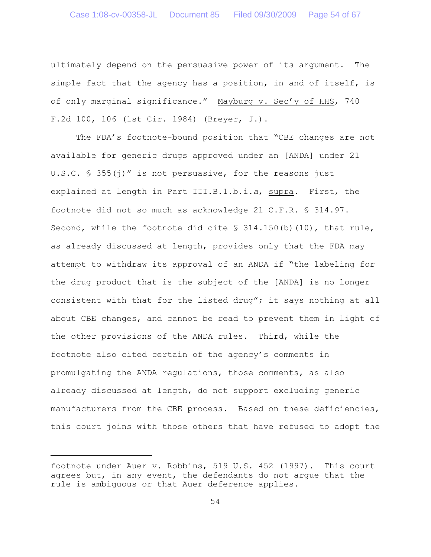ultimately depend on the persuasive power of its argument. The simple fact that the agency has a position, in and of itself, is of only marginal significance." Mayburg v. Sec'y of HHS, 740 F.2d 100, 106 (1st Cir. 1984) (Breyer, J.).

The FDA's footnote-bound position that "CBE changes are not available for generic drugs approved under an [ANDA] under 21 U.S.C.  $\frac{1}{5}$  355(j)" is not persuasive, for the reasons just explained at length in Part III.B.1.b.i.*a*, supra. First, the footnote did not so much as acknowledge 21 C.F.R. § 314.97. Second, while the footnote did cite  $\frac{1}{5}$  314.150(b)(10), that rule, as already discussed at length, provides only that the FDA may attempt to withdraw its approval of an ANDA if "the labeling for the drug product that is the subject of the [ANDA] is no longer consistent with that for the listed drug"; it says nothing at all about CBE changes, and cannot be read to prevent them in light of the other provisions of the ANDA rules. Third, while the footnote also cited certain of the agency's comments in promulgating the ANDA regulations, those comments, as also already discussed at length, do not support excluding generic manufacturers from the CBE process. Based on these deficiencies, this court joins with those others that have refused to adopt the

footnote under Auer v. Robbins, 519 U.S. 452 (1997). This court agrees but, in any event, the defendants do not arque that the rule is ambiguous or that Auer deference applies.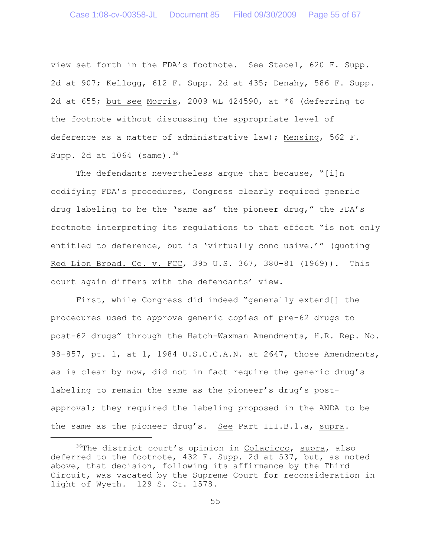view set forth in the FDA's footnote. See Stacel, 620 F. Supp. 2d at 907; Kellogg, 612 F. Supp. 2d at 435; Denahy, 586 F. Supp. 2d at 655; but see Morris, 2009 WL 424590, at \*6 (deferring to the footnote without discussing the appropriate level of deference as a matter of administrative law); Mensing, 562 F. Supp. 2d at  $1064$  (same).<sup>36</sup>

The defendants nevertheless arque that because,  $"[i]n$ codifying FDA's procedures, Congress clearly required generic drug labeling to be the 'same as' the pioneer drug," the FDA's footnote interpreting its regulations to that effect "is not only entitled to deference, but is 'virtually conclusive.'" (quoting Red Lion Broad. Co. v. FCC, 395 U.S. 367, 380-81 (1969)). This court again differs with the defendants' view.

First, while Congress did indeed "generally extend[] the procedures used to approve generic copies of pre-62 drugs to post-62 drugs" through the Hatch-Waxman Amendments, H.R. Rep. No.  $98-857$ , pt. 1, at 1, 1984 U.S.C.C.A.N. at 2647, those Amendments, as is clear by now, did not in fact require the generic drug's labeling to remain the same as the pioneer's drug's postapproval; they required the labeling proposed in the ANDA to be the same as the pioneer drug's. See Part III.B.1.a, supra.

 $36$ The district court's opinion in Colacicco, supra, also deferred to the footnote, 432 F. Supp. 2d at 537, but, as noted above, that decision, following its affirmance by the Third Circuit, was vacated by the Supreme Court for reconsideration in light of Wyeth. 129 S. Ct. 1578.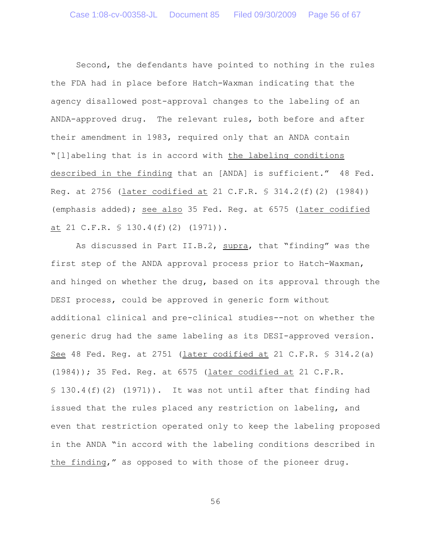Second, the defendants have pointed to nothing in the rules the FDA had in place before Hatch-Waxman indicating that the agency disallowed post-approval changes to the labeling of an ANDA-approved drug. The relevant rules, both before and after their amendment in 1983, required only that an ANDA contain "[l]abeling that is in accord with the labeling conditions described in the finding that an [ANDA] is sufficient." 48 Fed. Reg. at 2756 (later codified at 21 C.F.R. § 314.2(f)(2) (1984)) (emphasis added); see also 35 Fed. Reg. at 6575 (later codified at 21 C.F.R. § 130.4(f)(2) (1971)).

As discussed in Part II.B.2, supra, that "finding" was the first step of the ANDA approval process prior to Hatch-Waxman, and hinged on whether the drug, based on its approval through the DESI process, could be approved in generic form without additional clinical and pre-clinical studies--not on whether the generic drug had the same labeling as its DESI-approved version. See 48 Fed. Reg. at 2751 (later codified at 21 C.F.R. § 314.2(a) (1984)); 35 Fed. Reg. at 6575 (later codified at 21 C.F.R.  $$130.4(f)(2)$  (1971)). It was not until after that finding had issued that the rules placed any restriction on labeling, and even that restriction operated only to keep the labeling proposed in the ANDA "in accord with the labeling conditions described in the finding," as opposed to with those of the pioneer drug.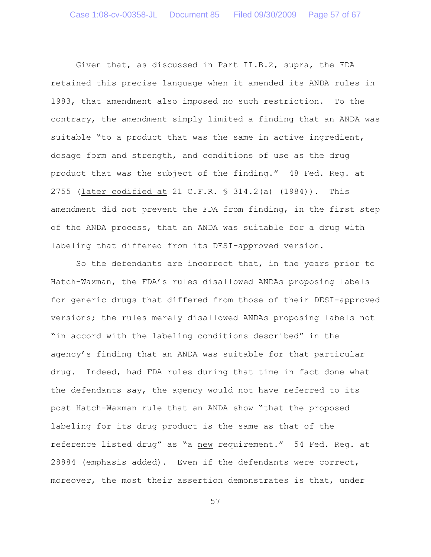Given that, as discussed in Part II.B.2, supra, the FDA retained this precise language when it amended its ANDA rules in 1983, that amendment also imposed no such restriction. To the contrary, the amendment simply limited a finding that an ANDA was suitable "to a product that was the same in active ingredient, dosage form and strength, and conditions of use as the drug product that was the subject of the finding." 48 Fed. Reg. at 2755 (later codified at 21 C.F.R. § 314.2(a) (1984)). This amendment did not prevent the FDA from finding, in the first step of the ANDA process, that an ANDA was suitable for a drug with labeling that differed from its DESI-approved version.

So the defendants are incorrect that, in the years prior to Hatch-Waxman, the FDA's rules disallowed ANDAs proposing labels for generic drugs that differed from those of their DESI-approved versions; the rules merely disallowed ANDAs proposing labels not "in accord with the labeling conditions described" in the agency's finding that an ANDA was suitable for that particular drug. Indeed, had FDA rules during that time in fact done what the defendants say, the agency would not have referred to its post Hatch-Waxman rule that an ANDA show "that the proposed labeling for its drug product is the same as that of the reference listed drug" as "a new requirement." 54 Fed. Reg. at 28884 (emphasis added). Even if the defendants were correct, moreover, the most their assertion demonstrates is that, under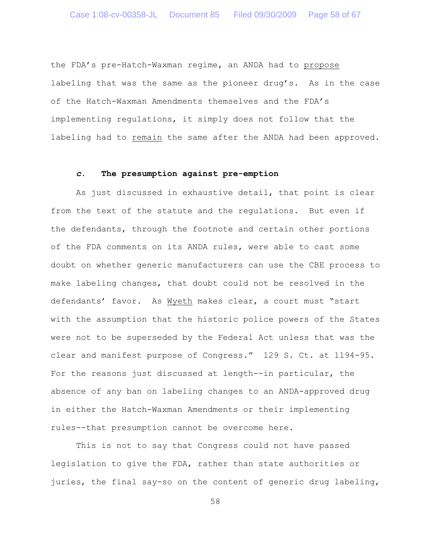the FDA's pre-Hatch-Waxman regime, an ANDA had to propose labeling that was the same as the pioneer drug's. As in the case of the Hatch-Waxman Amendments themselves and the FDA's implementing regulations, it simply does not follow that the labeling had to remain the same after the ANDA had been approved.

### *c*. **The presumption against pre-emption**

As just discussed in exhaustive detail, that point is clear from the text of the statute and the regulations. But even if the defendants, through the footnote and certain other portions of the FDA comments on its ANDA rules, were able to cast some doubt on whether generic manufacturers can use the CBE process to make labeling changes, that doubt could not be resolved in the defendants' favor. As Wyeth makes clear, a court must "start with the assumption that the historic police powers of the States were not to be superseded by the Federal Act unless that was the clear and manifest purpose of Congress." 129 S. Ct. at 1194-95. For the reasons just discussed at length--in particular, the absence of any ban on labeling changes to an ANDA-approved drug in either the Hatch-Waxman Amendments or their implementing rules--that presumption cannot be overcome here.

This is not to say that Congress could not have passed legislation to give the FDA, rather than state authorities or juries, the final say-so on the content of generic drug labeling,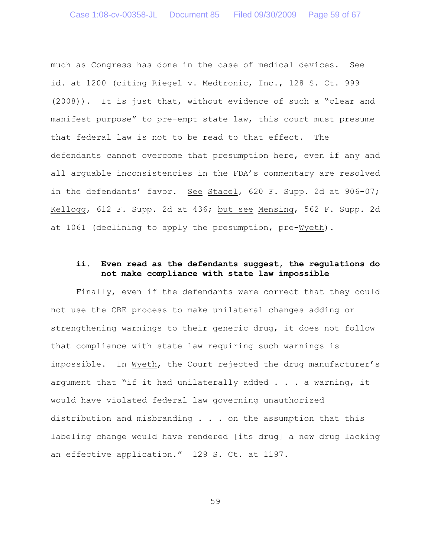much as Congress has done in the case of medical devices. See id. at 1200 (citing Riegel v. Medtronic, Inc., 128 S. Ct. 999 (2008)). It is just that, without evidence of such a "clear and manifest purpose" to pre-empt state law, this court must presume that federal law is not to be read to that effect. The defendants cannot overcome that presumption here, even if any and all arguable inconsistencies in the FDA's commentary are resolved in the defendants' favor. See Stacel, 620 F. Supp. 2d at 906-07; Kellogg, 612 F. Supp. 2d at 436; but see Mensing, 562 F. Supp. 2d at 1061 (declining to apply the presumption, pre-Wyeth).

# **ii. Even read as the defendants suggest, the regulations do not make compliance with state law impossible**

Finally, even if the defendants were correct that they could not use the CBE process to make unilateral changes adding or strengthening warnings to their generic drug, it does not follow that compliance with state law requiring such warnings is impossible. In Wyeth, the Court rejected the drug manufacturer's argument that "if it had unilaterally added . . . a warning, it would have violated federal law governing unauthorized distribution and misbranding . . . on the assumption that this labeling change would have rendered [its drug] a new drug lacking an effective application." 129 S. Ct. at 1197.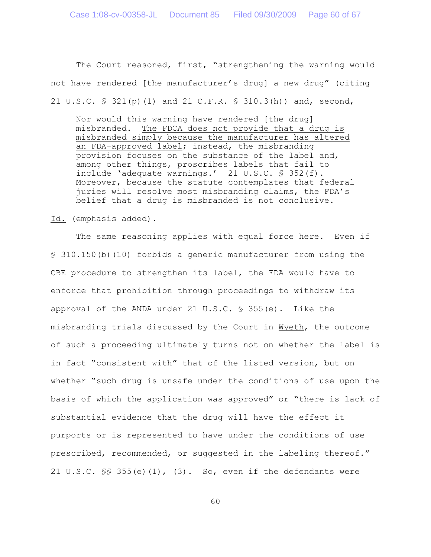The Court reasoned, first, "strengthening the warning would not have rendered [the manufacturer's drug] a new drug" (citing 21 U.S.C. § 321(p)(1) and 21 C.F.R. § 310.3(h)) and, second,

Nor would this warning have rendered [the drug] misbranded. The FDCA does not provide that a drug is misbranded simply because the manufacturer has altered an FDA-approved label; instead, the misbranding provision focuses on the substance of the label and, among other things, proscribes labels that fail to include 'adequate warnings.' 21 U.S.C. § 352(f). Moreover, because the statute contemplates that federal juries will resolve most misbranding claims, the FDA's belief that a drug is misbranded is not conclusive.

Id. (emphasis added).

The same reasoning applies with equal force here. Even if § 310.150(b)(10) forbids a generic manufacturer from using the CBE procedure to strengthen its label, the FDA would have to enforce that prohibition through proceedings to withdraw its approval of the ANDA under 21 U.S.C.  $\frac{6}{5}$  355(e). Like the misbranding trials discussed by the Court in Wyeth, the outcome of such a proceeding ultimately turns not on whether the label is in fact "consistent with" that of the listed version, but on whether "such drug is unsafe under the conditions of use upon the basis of which the application was approved" or "there is lack of substantial evidence that the drug will have the effect it purports or is represented to have under the conditions of use prescribed, recommended, or suggested in the labeling thereof." 21 U.S.C.  $\frac{1}{5}$  355(e)(1), (3). So, even if the defendants were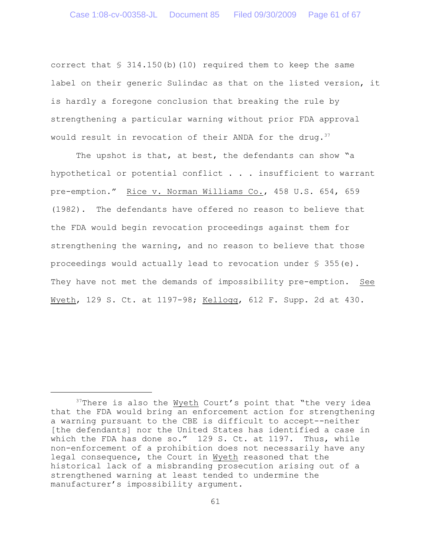correct that  $\frac{1}{5}$  314.150(b)(10) required them to keep the same label on their generic Sulindac as that on the listed version, it is hardly a foregone conclusion that breaking the rule by strengthening a particular warning without prior FDA approval would result in revocation of their ANDA for the drug.<sup>37</sup>

The upshot is that, at best, the defendants can show "a hypothetical or potential conflict  $\ldots$  . insufficient to warrant pre-emption." Rice v. Norman Williams Co., 458 U.S. 654, 659 (1982). The defendants have offered no reason to believe that the FDA would begin revocation proceedings against them for strengthening the warning, and no reason to believe that those proceedings would actually lead to revocation under  $\S$  355(e). They have not met the demands of impossibility pre-emption. See Wyeth, 129 S. Ct. at 1197-98; Kellogg, 612 F. Supp. 2d at 430.

 $37$ There is also the Wyeth Court's point that "the very idea that the FDA would bring an enforcement action for strengthening a warning pursuant to the CBE is difficult to accept--neither [the defendants] nor the United States has identified a case in which the FDA has done so." 129 S. Ct. at 1197. Thus, while non-enforcement of a prohibition does not necessarily have any legal consequence, the Court in Wyeth reasoned that the historical lack of a misbranding prosecution arising out of a strengthened warning at least tended to undermine the manufacturer's impossibility argument.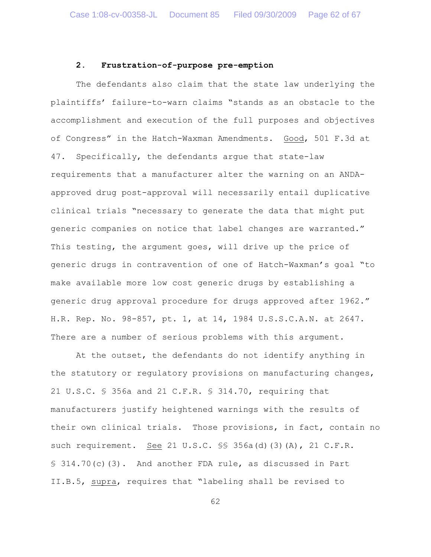# **2. Frustration-of-purpose pre-emption**

The defendants also claim that the state law underlying the plaintiffs' failure-to-warn claims "stands as an obstacle to the accomplishment and execution of the full purposes and objectives of Congress" in the Hatch-Waxman Amendments. Good, 501 F.3d at 47. Specifically, the defendants argue that state-law requirements that a manufacturer alter the warning on an ANDAapproved drug post-approval will necessarily entail duplicative clinical trials "necessary to generate the data that might put generic companies on notice that label changes are warranted." This testing, the argument goes, will drive up the price of generic drugs in contravention of one of Hatch-Waxman's goal "to make available more low cost generic drugs by establishing a generic drug approval procedure for drugs approved after 1962." H.R. Rep. No. 98-857, pt. 1, at 14, 1984 U.S.S.C.A.N. at 2647. There are a number of serious problems with this argument.

At the outset, the defendants do not identify anything in the statutory or regulatory provisions on manufacturing changes, 21 U.S.C. § 356a and 21 C.F.R. § 314.70, requiring that manufacturers justify heightened warnings with the results of their own clinical trials. Those provisions, in fact, contain no such requirement. See 21 U.S.C. §§ 356a(d)(3)(A), 21 C.F.R. § 314.70(c)(3). And another FDA rule, as discussed in Part II.B.5, supra, requires that "labeling shall be revised to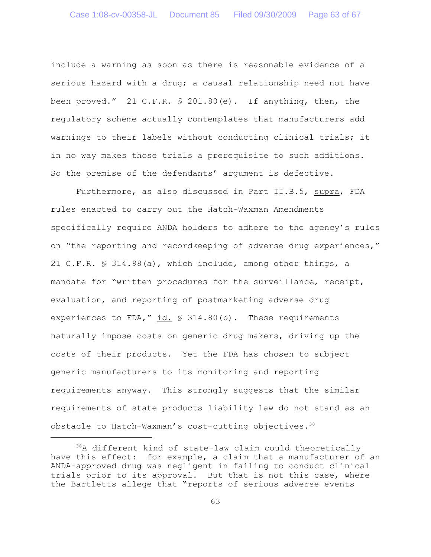include a warning as soon as there is reasonable evidence of a serious hazard with a drug; a causal relationship need not have been proved." 21 C.F.R. § 201.80(e). If anything, then, the regulatory scheme actually contemplates that manufacturers add warnings to their labels without conducting clinical trials; it in no way makes those trials a prerequisite to such additions. So the premise of the defendants' argument is defective.

Furthermore, as also discussed in Part II.B.5, supra, FDA rules enacted to carry out the Hatch-Waxman Amendments specifically require ANDA holders to adhere to the agency's rules on "the reporting and recordkeeping of adverse drug experiences," 21 C.F.R. § 314.98(a), which include, among other things, a mandate for "written procedures for the surveillance, receipt, evaluation, and reporting of postmarketing adverse drug experiences to FDA," id.  $\frac{1}{2}$  314.80(b). These requirements naturally impose costs on generic drug makers, driving up the costs of their products. Yet the FDA has chosen to subject generic manufacturers to its monitoring and reporting requirements anyway. This strongly suggests that the similar requirements of state products liability law do not stand as an obstacle to Hatch-Waxman's cost-cutting objectives.<sup>38</sup>

 $38A$  different kind of state-law claim could theoretically have this effect: for example, a claim that a manufacturer of an ANDA-approved drug was negligent in failing to conduct clinical trials prior to its approval. But that is not this case, where the Bartletts allege that "reports of serious adverse events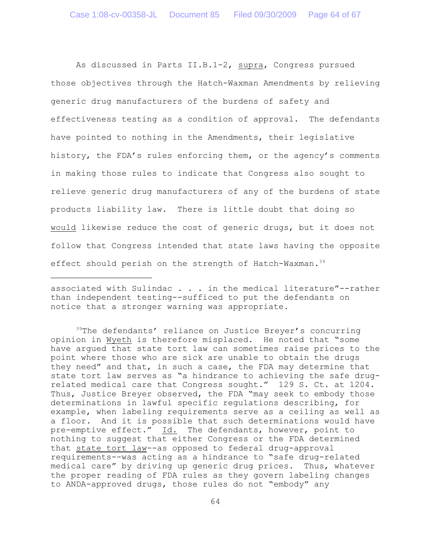As discussed in Parts II.B.1-2, supra, Congress pursued those objectives through the Hatch-Waxman Amendments by relieving generic drug manufacturers of the burdens of safety and effectiveness testing as a condition of approval. The defendants have pointed to nothing in the Amendments, their legislative history, the FDA's rules enforcing them, or the agency's comments in making those rules to indicate that Congress also sought to relieve generic drug manufacturers of any of the burdens of state products liability law. There is little doubt that doing so would likewise reduce the cost of generic drugs, but it does not follow that Congress intended that state laws having the opposite effect should perish on the strength of Hatch-Waxman.<sup>39</sup>

associated with Sulindac . . . in the medical literature"--rather than independent testing--sufficed to put the defendants on notice that a stronger warning was appropriate.

 $39$ The defendants' reliance on Justice Breyer's concurring opinion in Wyeth is therefore misplaced. He noted that "some have argued that state tort law can sometimes raise prices to the point where those who are sick are unable to obtain the drugs they need" and that, in such a case, the FDA may determine that state tort law serves as "a hindrance to achieving the safe drugrelated medical care that Congress sought." 129 S. Ct. at 1204. Thus, Justice Breyer observed, the FDA "may seek to embody those determinations in lawful specific regulations describing, for example, when labeling requirements serve as a ceiling as well as a floor. And it is possible that such determinations would have pre-emptive effect." Id. The defendants, however, point to nothing to suggest that either Congress or the FDA determined that state tort law--as opposed to federal drug-approval requirements--was acting as a hindrance to "safe drug-related medical care" by driving up generic drug prices. Thus, whatever the proper reading of FDA rules as they govern labeling changes to ANDA-approved drugs, those rules do not "embody" any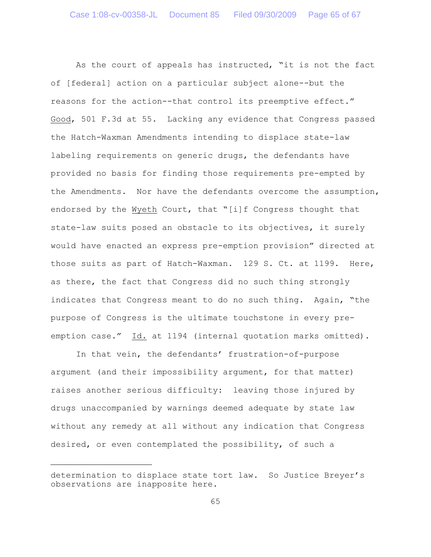As the court of appeals has instructed, "it is not the fact of [federal] action on a particular subject alone--but the reasons for the action--that control its preemptive effect." Good, 501 F.3d at 55. Lacking any evidence that Congress passed the Hatch-Waxman Amendments intending to displace state-law labeling requirements on generic drugs, the defendants have provided no basis for finding those requirements pre-empted by the Amendments. Nor have the defendants overcome the assumption, endorsed by the Wyeth Court, that "[i]f Congress thought that state-law suits posed an obstacle to its objectives, it surely would have enacted an express pre-emption provision" directed at those suits as part of Hatch-Waxman. 129 S. Ct. at 1199. Here, as there, the fact that Congress did no such thing strongly indicates that Congress meant to do no such thing. Again, "the purpose of Congress is the ultimate touchstone in every preemption case." Id. at 1194 (internal quotation marks omitted).

In that vein, the defendants' frustration-of-purpose argument (and their impossibility argument, for that matter) raises another serious difficulty: leaving those injured by drugs unaccompanied by warnings deemed adequate by state law without any remedy at all without any indication that Congress desired, or even contemplated the possibility, of such a

determination to displace state tort law. So Justice Breyer's observations are inapposite here.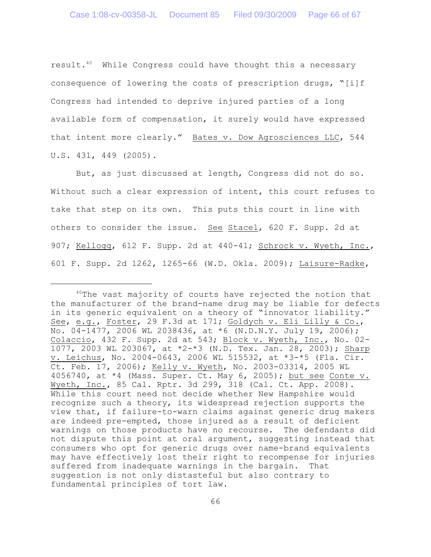result. $40$  While Congress could have thought this a necessary consequence of lowering the costs of prescription drugs, "[i]f Congress had intended to deprive injured parties of a long available form of compensation, it surely would have expressed that intent more clearly." Bates v. Dow Agrosciences LLC, 544 U.S. 431, 449 (2005).

But, as just discussed at length, Congress did not do so. Without such a clear expression of intent, this court refuses to take that step on its own. This puts this court in line with others to consider the issue. See Stacel, 620 F. Supp. 2d at 907; Kellogg, 612 F. Supp. 2d at 440-41; Schrock v. Wyeth, Inc., 601 F. Supp. 2d 1262, 1265-66 (W.D. Okla. 2009); Laisure-Radke,

 $40$ The vast majority of courts have rejected the notion that the manufacturer of the brand-name drug may be liable for defects in its generic equivalent on a theory of "innovator liability." See, e.g., Foster, 29 F.3d at 171; Goldych v. Eli Lilly & Co., No. 04-1477, 2006 WL 2038436, at \*6 (N.D.N.Y. July 19, 2006); Colaccio, 432 F. Supp. 2d at 543; Block v. Wyeth, Inc., No. 02- 1077, 2003 WL 203067, at \*2-\*3 (N.D. Tex. Jan. 28, 2003); Sharp v. Leichus, No. 2004-0643, 2006 WL 515532, at \*3-\*5 (Fla. Cir. Ct. Feb. 17, 2006); Kelly v. Wyeth, No. 2003-03314, 2005 WL 4056740, at \*4 (Mass. Super. Ct. May 6, 2005); but see Conte v. Wyeth, Inc., 85 Cal. Rptr. 3d 299, 318 (Cal. Ct. App. 2008). While this court need not decide whether New Hampshire would recognize such a theory, its widespread rejection supports the view that, if failure-to-warn claims against generic drug makers are indeed pre-empted, those injured as a result of deficient warnings on those products have no recourse. The defendants did not dispute this point at oral argument, suggesting instead that consumers who opt for generic drugs over name-brand equivalents may have effectively lost their right to recompense for injuries suffered from inadequate warnings in the bargain. That suggestion is not only distasteful but also contrary to fundamental principles of tort law.